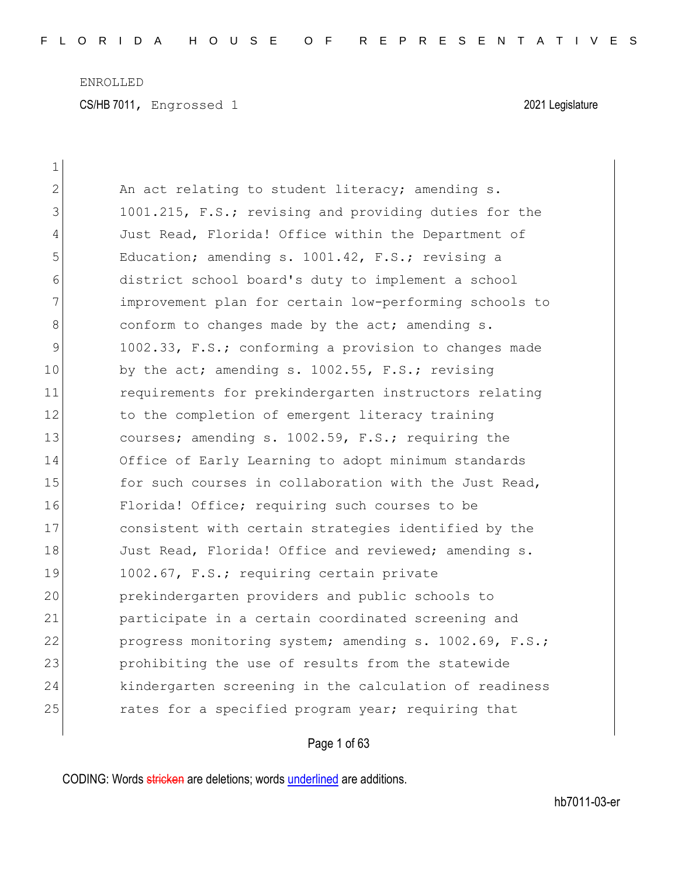| 1  |                                                        |
|----|--------------------------------------------------------|
| 2  | An act relating to student literacy; amending s.       |
| 3  | 1001.215, F.S.; revising and providing duties for the  |
| 4  | Just Read, Florida! Office within the Department of    |
| 5  | Education; amending s. 1001.42, F.S.; revising a       |
| 6  | district school board's duty to implement a school     |
| 7  | improvement plan for certain low-performing schools to |
| 8  | conform to changes made by the act; amending s.        |
| 9  | 1002.33, F.S.; conforming a provision to changes made  |
| 10 | by the act; amending s. 1002.55, F.S.; revising        |
| 11 | requirements for prekindergarten instructors relating  |
| 12 | to the completion of emergent literacy training        |
| 13 | courses; amending s. 1002.59, F.S.; requiring the      |
| 14 | Office of Early Learning to adopt minimum standards    |
| 15 | for such courses in collaboration with the Just Read,  |
| 16 | Florida! Office; requiring such courses to be          |
| 17 | consistent with certain strategies identified by the   |
| 18 | Just Read, Florida! Office and reviewed; amending s.   |
| 19 | 1002.67, F.S.; requiring certain private               |
| 20 | prekindergarten providers and public schools to        |
| 21 | participate in a certain coordinated screening and     |
| 22 | progress monitoring system; amending s. 1002.69, F.S.; |
| 23 | prohibiting the use of results from the statewide      |
| 24 | kindergarten screening in the calculation of readiness |
| 25 | rates for a specified program year; requiring that     |
|    |                                                        |

Page 1 of 63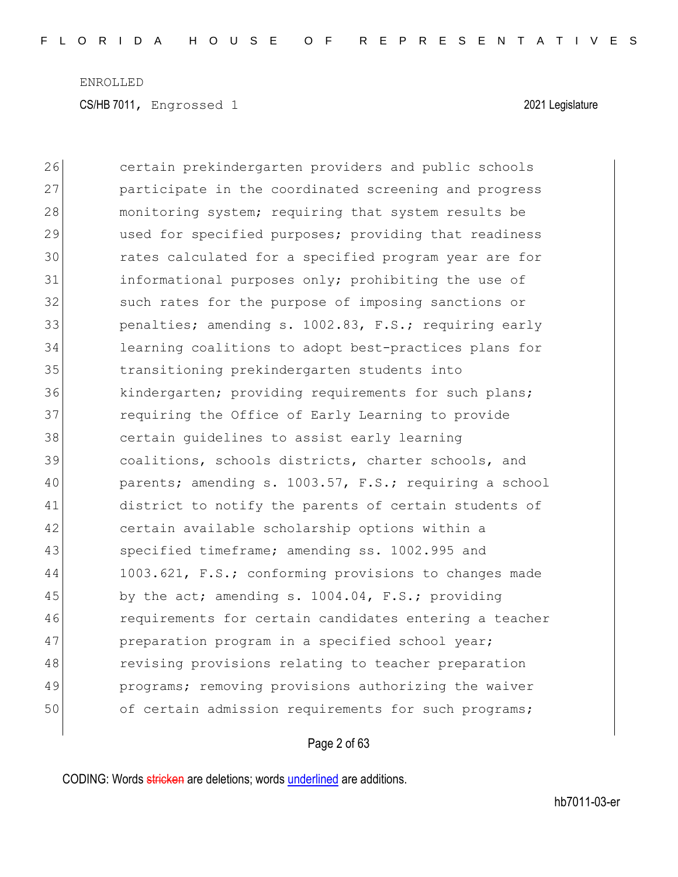26 certain prekindergarten providers and public schools 27 participate in the coordinated screening and progress 28 monitoring system; requiring that system results be 29 used for specified purposes; providing that readiness 30 rates calculated for a specified program year are for 31 informational purposes only; prohibiting the use of 32 such rates for the purpose of imposing sanctions or 33 **penalties;** amending s. 1002.83, F.S.; requiring early 34 learning coalitions to adopt best-practices plans for 35 transitioning prekindergarten students into 36 kindergarten; providing requirements for such plans; 37 **19.1** requiring the Office of Early Learning to provide 38 certain guidelines to assist early learning 39 coalitions, schools districts, charter schools, and 40 parents; amending s. 1003.57, F.S.; requiring a school 41 district to notify the parents of certain students of 42 certain available scholarship options within a 43 specified timeframe; amending ss. 1002.995 and 44 1003.621, F.S.; conforming provisions to changes made 45 by the act; amending s. 1004.04, F.S.; providing 46 requirements for certain candidates entering a teacher 47 preparation program in a specified school year; 48 revising provisions relating to teacher preparation 49 programs; removing provisions authorizing the waiver 50 of certain admission requirements for such programs;

#### Page 2 of 63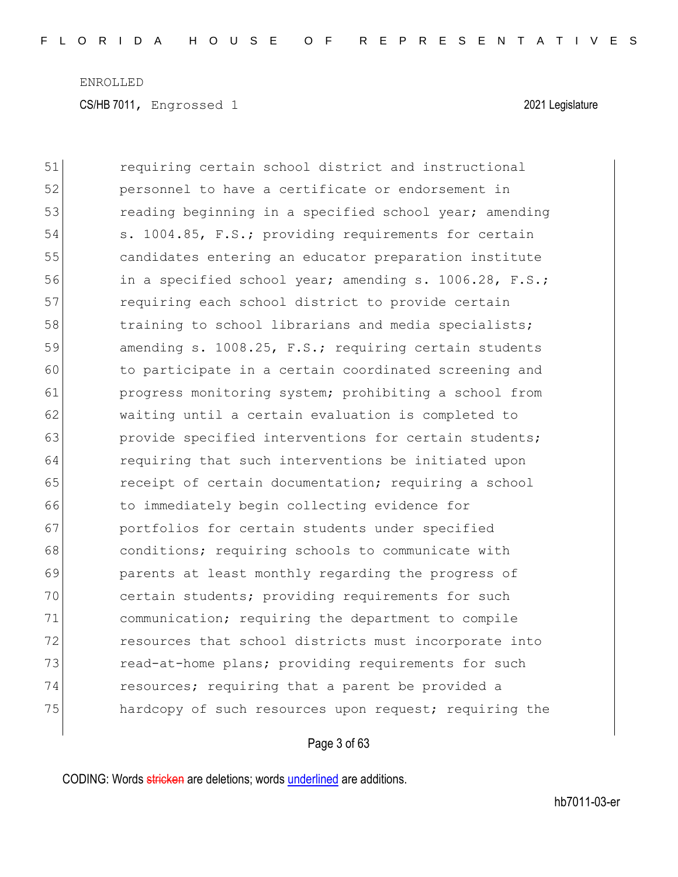51 requiring certain school district and instructional 52 personnel to have a certificate or endorsement in 53 reading beginning in a specified school year; amending 54 s. 1004.85, F.S.; providing requirements for certain 55 candidates entering an educator preparation institute 56 in a specified school year; amending s. 1006.28, F.S.; 57 **requiring each school district to provide certain** 58 training to school librarians and media specialists; 59 amending s. 1008.25, F.S.; requiring certain students 60 to participate in a certain coordinated screening and 61 progress monitoring system; prohibiting a school from 62 waiting until a certain evaluation is completed to 63 **provide specified interventions for certain students;** 64 requiring that such interventions be initiated upon 65 receipt of certain documentation; requiring a school 66 to immediately begin collecting evidence for 67 **portfolios for certain students under specified** 68 **conditions;** requiring schools to communicate with 69 parents at least monthly regarding the progress of 70 certain students; providing requirements for such 71 communication; requiring the department to compile 72 resources that school districts must incorporate into 73 read-at-home plans; providing requirements for such 74 resources; requiring that a parent be provided a 75 hardcopy of such resources upon request; requiring the

#### Page 3 of 63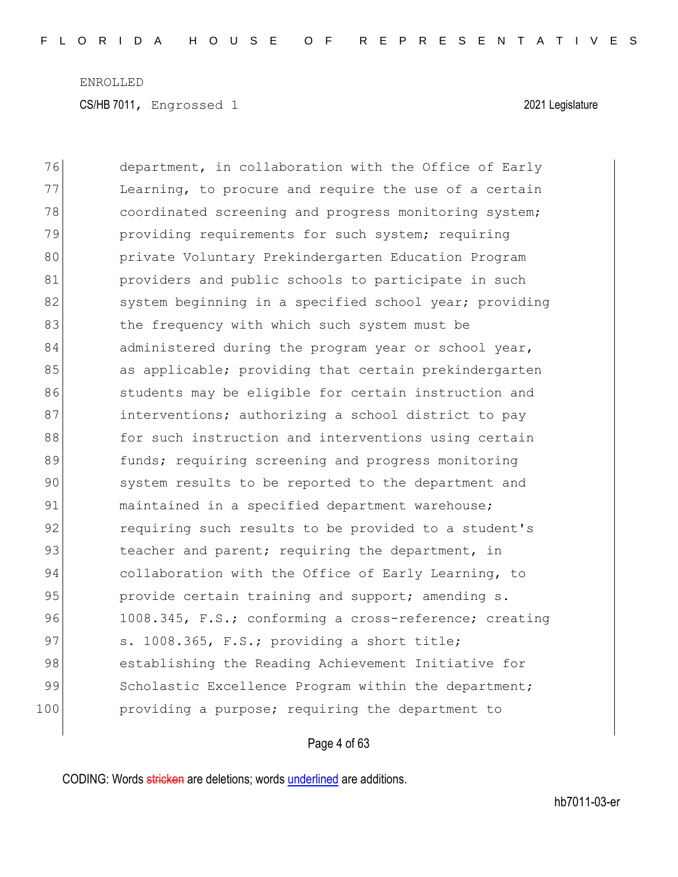76 department, in collaboration with the Office of Early 77 Learning, to procure and require the use of a certain 78 **coordinated screening and progress monitoring system;** 79 providing requirements for such system; requiring 80 **private Voluntary Prekindergarten Education Program** 81 **providers** and public schools to participate in such 82 system beginning in a specified school year; providing 83 the frequency with which such system must be 84 administered during the program year or school year, 85 as applicable; providing that certain prekindergarten 86 students may be eligible for certain instruction and 87 **interventions;** authorizing a school district to pay 88 for such instruction and interventions using certain 89 **funds;** requiring screening and progress monitoring 90 system results to be reported to the department and 91 maintained in a specified department warehouse; 92 requiring such results to be provided to a student's 93 beacher and parent; requiring the department, in 94 collaboration with the Office of Early Learning, to 95 provide certain training and support; amending s. 96 1008.345, F.S.; conforming a cross-reference; creating 97 s. 1008.365, F.S.; providing a short title; 98 establishing the Reading Achievement Initiative for 99 Scholastic Excellence Program within the department; 100 **providing a purpose;** requiring the department to

#### Page 4 of 63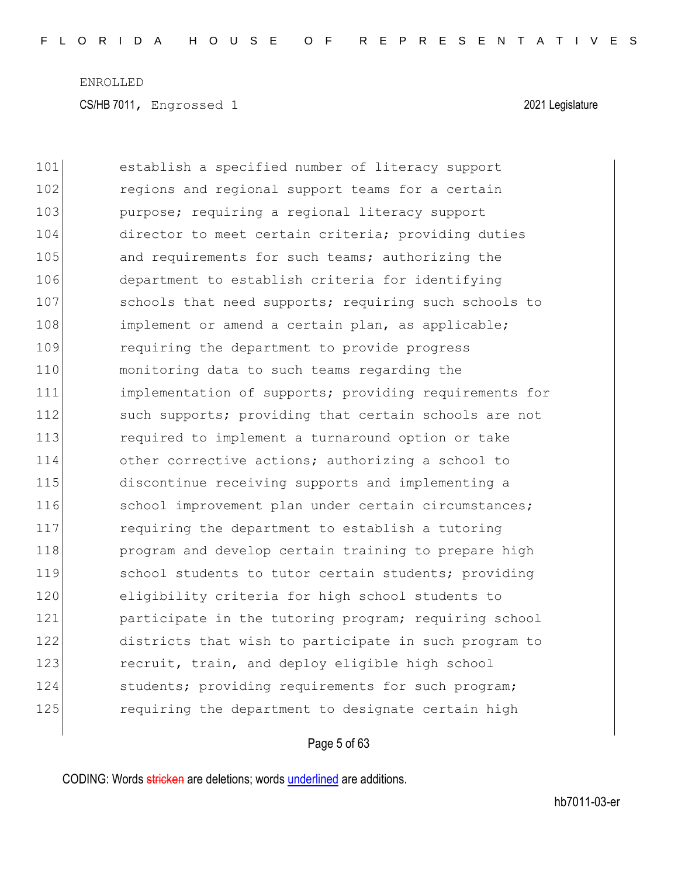101 establish a specified number of literacy support 102 regions and regional support teams for a certain 103 **purpose;** requiring a regional literacy support 104 director to meet certain criteria; providing duties 105 and requirements for such teams; authorizing the 106 department to establish criteria for identifying 107 schools that need supports; requiring such schools to 108 implement or amend a certain plan, as applicable; 109 requiring the department to provide progress 110 monitoring data to such teams regarding the 111 implementation of supports; providing requirements for 112 such supports; providing that certain schools are not 113 required to implement a turnaround option or take 114 other corrective actions; authorizing a school to 115 discontinue receiving supports and implementing a 116 School improvement plan under certain circumstances; 117 requiring the department to establish a tutoring 118 **program and develop certain training to prepare high** 119 school students to tutor certain students; providing 120 eligibility criteria for high school students to 121 **participate in the tutoring program; requiring school** 122 districts that wish to participate in such program to 123 recruit, train, and deploy eligible high school 124 students; providing requirements for such program; 125 **requiring the department to designate certain high** 

#### Page 5 of 63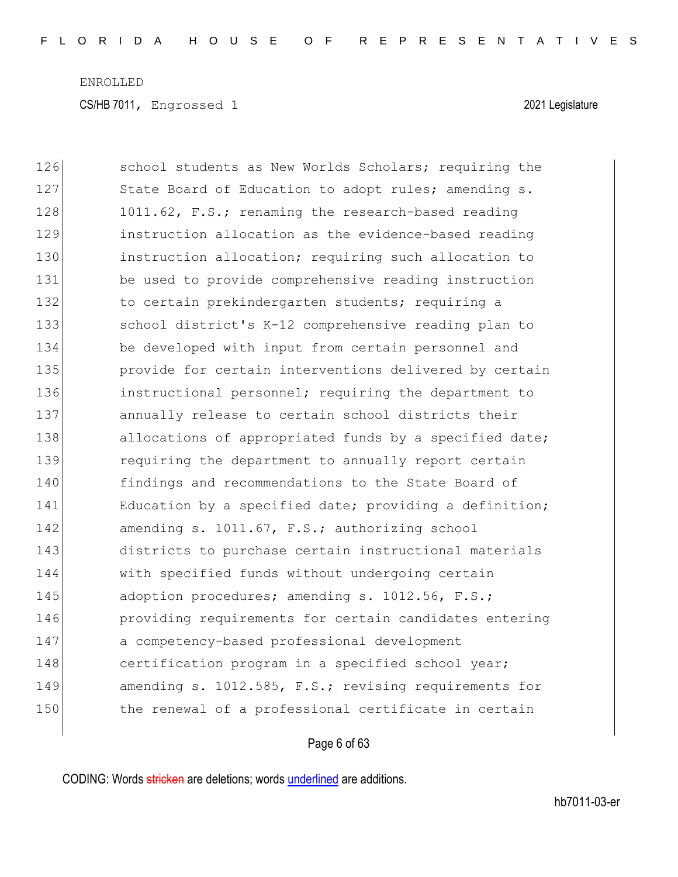| 126 | school students as New Worlds Scholars; requiring the  |
|-----|--------------------------------------------------------|
| 127 | State Board of Education to adopt rules; amending s.   |
| 128 | 1011.62, F.S.; renaming the research-based reading     |
| 129 | instruction allocation as the evidence-based reading   |
| 130 | instruction allocation; requiring such allocation to   |
| 131 | be used to provide comprehensive reading instruction   |
| 132 | to certain prekindergarten students; requiring a       |
| 133 | school district's K-12 comprehensive reading plan to   |
| 134 | be developed with input from certain personnel and     |
| 135 | provide for certain interventions delivered by certain |
| 136 | instructional personnel; requiring the department to   |
| 137 | annually release to certain school districts their     |
| 138 | allocations of appropriated funds by a specified date; |
| 139 | requiring the department to annually report certain    |
| 140 | findings and recommendations to the State Board of     |
| 141 | Education by a specified date; providing a definition; |
| 142 | amending s. 1011.67, F.S.; authorizing school          |
| 143 | districts to purchase certain instructional materials  |
| 144 | with specified funds without undergoing certain        |
| 145 | adoption procedures; amending s. 1012.56, F.S.;        |
| 146 | providing requirements for certain candidates entering |
| 147 | a competency-based professional development            |
| 148 | certification program in a specified school year;      |
| 149 | amending s. 1012.585, F.S.; revising requirements for  |
| 150 | the renewal of a professional certificate in certain   |

## Page 6 of 63

CODING: Words stricken are deletions; words underlined are additions.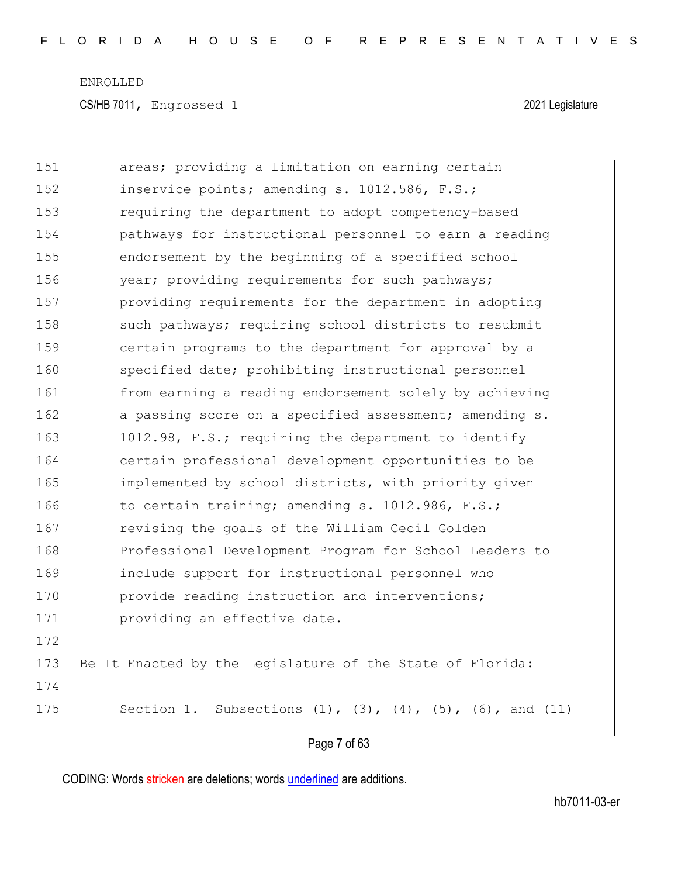| 151 | areas; providing a limitation on earning certain                          |
|-----|---------------------------------------------------------------------------|
| 152 | inservice points; amending s. 1012.586, F.S.;                             |
| 153 | requiring the department to adopt competency-based                        |
| 154 | pathways for instructional personnel to earn a reading                    |
| 155 | endorsement by the beginning of a specified school                        |
| 156 | year; providing requirements for such pathways;                           |
| 157 | providing requirements for the department in adopting                     |
| 158 | such pathways; requiring school districts to resubmit                     |
| 159 | certain programs to the department for approval by a                      |
| 160 | specified date; prohibiting instructional personnel                       |
| 161 | from earning a reading endorsement solely by achieving                    |
| 162 | a passing score on a specified assessment; amending s.                    |
| 163 | 1012.98, F.S.; requiring the department to identify                       |
| 164 | certain professional development opportunities to be                      |
| 165 | implemented by school districts, with priority given                      |
| 166 | to certain training; amending s. 1012.986, F.S.;                          |
| 167 | revising the goals of the William Cecil Golden                            |
| 168 | Professional Development Program for School Leaders to                    |
| 169 | include support for instructional personnel who                           |
| 170 | provide reading instruction and interventions;                            |
| 171 | providing an effective date.                                              |
| 172 |                                                                           |
| 173 | Be It Enacted by the Legislature of the State of Florida:                 |
| 174 |                                                                           |
| 175 | Section 1. Subsections $(1)$ , $(3)$ , $(4)$ , $(5)$ , $(6)$ , and $(11)$ |
|     | Page 7 of 63                                                              |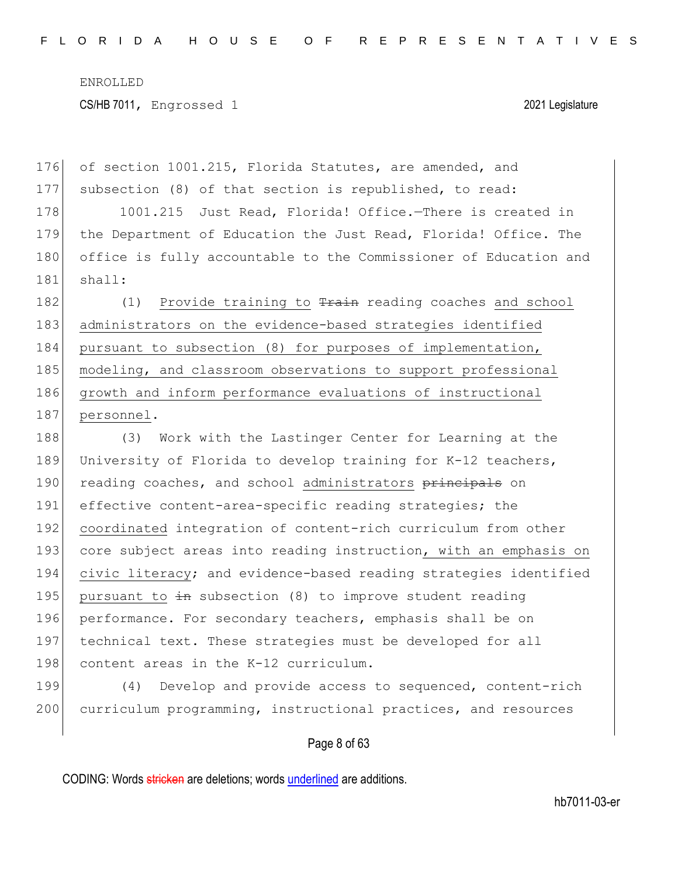176 of section 1001.215, Florida Statutes, are amended, and 177 subsection (8) of that section is republished, to read: 178 1001.215 Just Read, Florida! Office.—There is created in 179 the Department of Education the Just Read, Florida! Office. The 180 office is fully accountable to the Commissioner of Education and 181 shall: 182  $(1)$  Provide training to  $\frac{1}{2}$  reading coaches and school 183 administrators on the evidence-based strategies identified 184 pursuant to subsection (8) for purposes of implementation, 185 | modeling, and classroom observations to support professional 186 growth and inform performance evaluations of instructional 187 personnel. 188 (3) Work with the Lastinger Center for Learning at the 189 University of Florida to develop training for K-12 teachers, 190 reading coaches, and school administrators principals on 191 effective content-area-specific reading strategies; the 192 coordinated integration of content-rich curriculum from other 193 core subject areas into reading instruction, with an emphasis on 194 civic literacy; and evidence-based reading strategies identified 195 pursuant to  $\frac{1}{2}$  subsection (8) to improve student reading 196 performance. For secondary teachers, emphasis shall be on 197 technical text. These strategies must be developed for all 198 content areas in the K-12 curriculum.

199 (4) Develop and provide access to sequenced, content-rich 200 curriculum programming, instructional practices, and resources

Page 8 of 63

CODING: Words stricken are deletions; words underlined are additions.

hb7011-03-er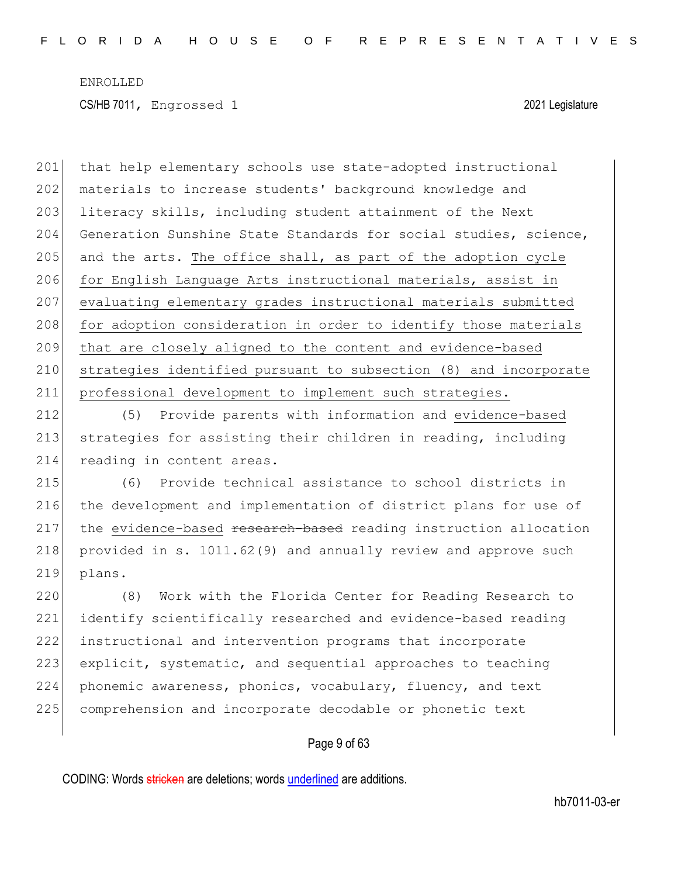201 that help elementary schools use state-adopted instructional 202 materials to increase students' background knowledge and 203 literacy skills, including student attainment of the Next 204 Generation Sunshine State Standards for social studies, science, 205 and the arts. The office shall, as part of the adoption cycle 206 for English Language Arts instructional materials, assist in 207 evaluating elementary grades instructional materials submitted 208 for adoption consideration in order to identify those materials 209 that are closely aligned to the content and evidence-based 210 strategies identified pursuant to subsection (8) and incorporate 211 professional development to implement such strategies.

212 (5) Provide parents with information and evidence-based 213 strategies for assisting their children in reading, including 214 reading in content areas.

215 (6) Provide technical assistance to school districts in 216 the development and implementation of district plans for use of 217 the evidence-based research-based reading instruction allocation 218 provided in s. 1011.62(9) and annually review and approve such 219 plans.

 (8) Work with the Florida Center for Reading Research to identify scientifically researched and evidence-based reading instructional and intervention programs that incorporate 223 explicit, systematic, and sequential approaches to teaching phonemic awareness, phonics, vocabulary, fluency, and text comprehension and incorporate decodable or phonetic text

#### Page 9 of 63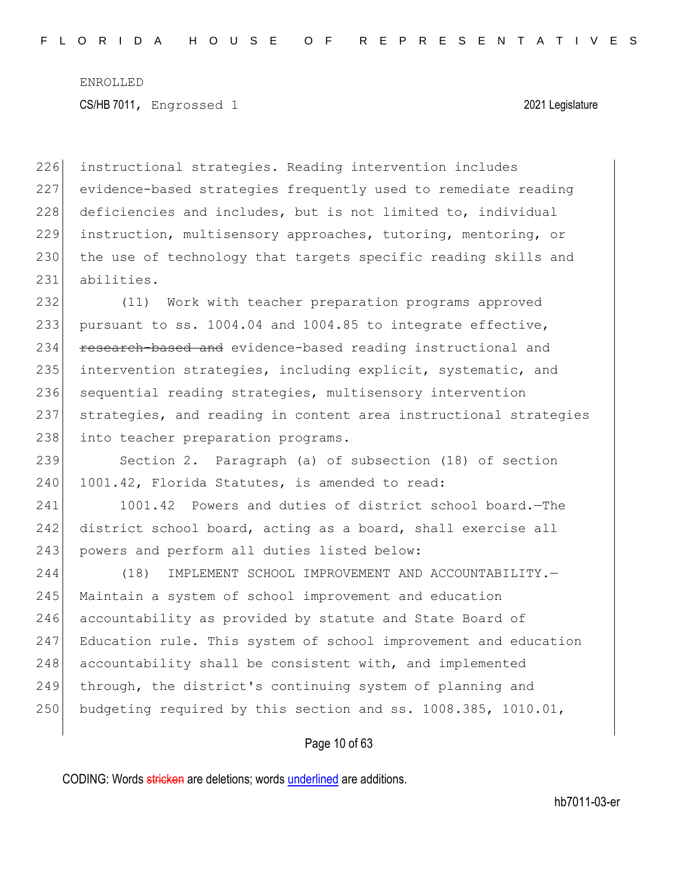instructional strategies. Reading intervention includes evidence-based strategies frequently used to remediate reading 228 deficiencies and includes, but is not limited to, individual instruction, multisensory approaches, tutoring, mentoring, or 230 the use of technology that targets specific reading skills and abilities.

232 (11) Work with teacher preparation programs approved 233 pursuant to ss. 1004.04 and 1004.85 to integrate effective, 234 research-based and evidence-based reading instructional and 235 intervention strategies, including explicit, systematic, and 236 sequential reading strategies, multisensory intervention 237 strategies, and reading in content area instructional strategies 238 into teacher preparation programs.

239 Section 2. Paragraph (a) of subsection (18) of section 240 1001.42, Florida Statutes, is amended to read:

241 1001.42 Powers and duties of district school board. - The 242 district school board, acting as a board, shall exercise all 243 powers and perform all duties listed below:

244 (18) IMPLEMENT SCHOOL IMPROVEMENT AND ACCOUNTABILITY. 245 Maintain a system of school improvement and education 246 accountability as provided by statute and State Board of 247 Education rule. This system of school improvement and education 248 accountability shall be consistent with, and implemented 249 through, the district's continuing system of planning and 250 budgeting required by this section and ss. 1008.385, 1010.01,

#### Page 10 of 63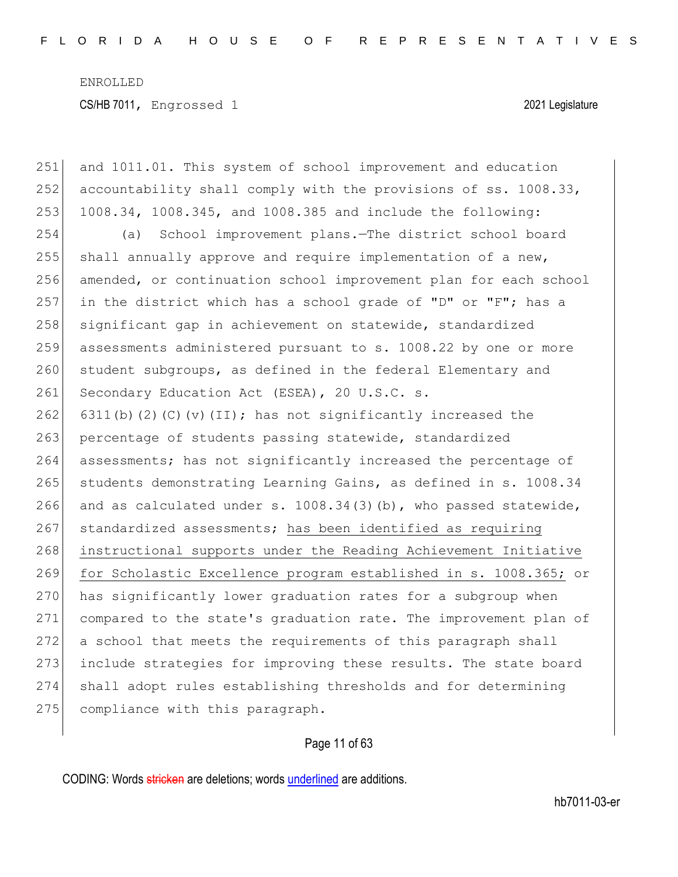251 and 1011.01. This system of school improvement and education 252 accountability shall comply with the provisions of ss. 1008.33, 253 1008.34, 1008.345, and 1008.385 and include the following: 254 (a) School improvement plans.—The district school board 255 shall annually approve and require implementation of a new, 256 amended, or continuation school improvement plan for each school 257 in the district which has a school grade of "D" or "F"; has a 258 significant gap in achievement on statewide, standardized 259 assessments administered pursuant to s. 1008.22 by one or more 260 student subgroups, as defined in the federal Elementary and 261 Secondary Education Act (ESEA), 20 U.S.C. s. 262 6311(b)(2)(C)(v)(II); has not significantly increased the 263 percentage of students passing statewide, standardized 264 assessments; has not significantly increased the percentage of 265 students demonstrating Learning Gains, as defined in s. 1008.34 266 and as calculated under s.  $1008.34(3)$  (b), who passed statewide, 267 standardized assessments; has been identified as requiring 268 instructional supports under the Reading Achievement Initiative 269 for Scholastic Excellence program established in s. 1008.365; or 270 has significantly lower graduation rates for a subgroup when 271 compared to the state's graduation rate. The improvement plan of 272 a school that meets the requirements of this paragraph shall 273 include strategies for improving these results. The state board 274 shall adopt rules establishing thresholds and for determining 275 compliance with this paragraph.

Page 11 of 63

CODING: Words stricken are deletions; words underlined are additions.

hb7011-03-er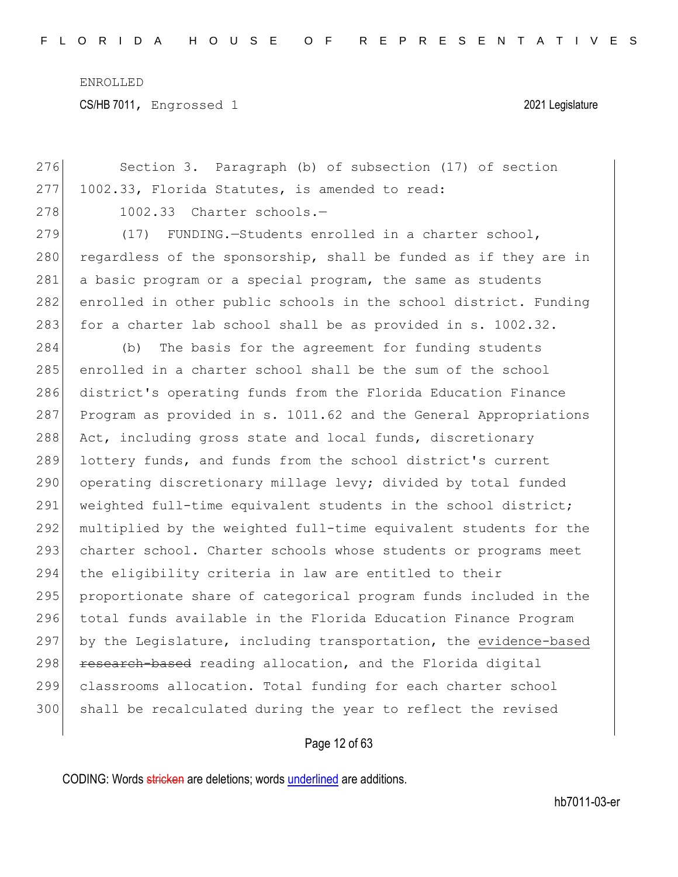CS/HB 7011, Engrossed 1 2021 Legislature

| 276 | Section 3. Paragraph (b) of subsection (17) of section           |
|-----|------------------------------------------------------------------|
| 277 | 1002.33, Florida Statutes, is amended to read:                   |
| 278 | 1002.33 Charter schools.-                                        |
| 279 | (17)<br>FUNDING.-Students enrolled in a charter school,          |
| 280 | regardless of the sponsorship, shall be funded as if they are in |
| 281 | a basic program or a special program, the same as students       |
| 282 | enrolled in other public schools in the school district. Funding |
| 283 | for a charter lab school shall be as provided in s. 1002.32.     |
| 284 | The basis for the agreement for funding students<br>(b)          |
| 285 | enrolled in a charter school shall be the sum of the school      |
| 286 | district's operating funds from the Florida Education Finance    |
| 287 | Program as provided in s. 1011.62 and the General Appropriations |
| 288 | Act, including gross state and local funds, discretionary        |
| 289 | lottery funds, and funds from the school district's current      |
| 290 | operating discretionary millage levy; divided by total funded    |
| 291 | weighted full-time equivalent students in the school district;   |
| 292 | multiplied by the weighted full-time equivalent students for the |
| 293 | charter school. Charter schools whose students or programs meet  |
| 294 | the eligibility criteria in law are entitled to their            |
| 295 | proportionate share of categorical program funds included in the |
| 296 | total funds available in the Florida Education Finance Program   |
| 297 | by the Legislature, including transportation, the evidence-based |
| 298 | research-based reading allocation, and the Florida digital       |
| 299 | classrooms allocation. Total funding for each charter school     |
| 300 | shall be recalculated during the year to reflect the revised     |
|     |                                                                  |

## Page 12 of 63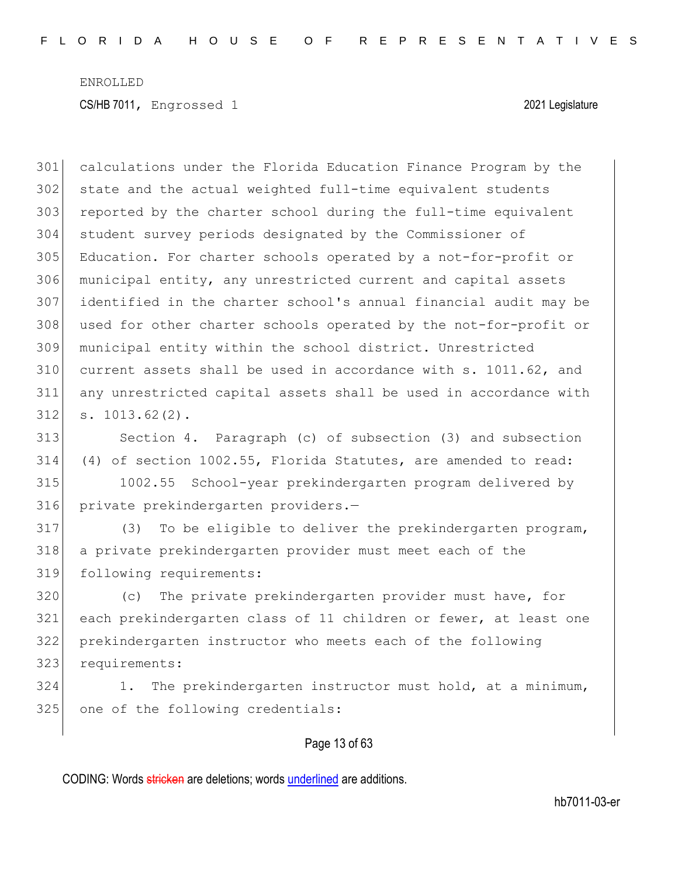calculations under the Florida Education Finance Program by the state and the actual weighted full-time equivalent students 303 reported by the charter school during the full-time equivalent student survey periods designated by the Commissioner of Education. For charter schools operated by a not-for-profit or municipal entity, any unrestricted current and capital assets identified in the charter school's annual financial audit may be 308 used for other charter schools operated by the not-for-profit or municipal entity within the school district. Unrestricted current assets shall be used in accordance with s. 1011.62, and any unrestricted capital assets shall be used in accordance with s. 1013.62(2).

 Section 4. Paragraph (c) of subsection (3) and subsection (4) of section 1002.55, Florida Statutes, are amended to read:

 1002.55 School-year prekindergarten program delivered by private prekindergarten providers.—

 (3) To be eligible to deliver the prekindergarten program, a private prekindergarten provider must meet each of the following requirements:

 (c) The private prekindergarten provider must have, for each prekindergarten class of 11 children or fewer, at least one prekindergarten instructor who meets each of the following requirements:

324 1. The prekindergarten instructor must hold, at a minimum, 325 one of the following credentials:

#### Page 13 of 63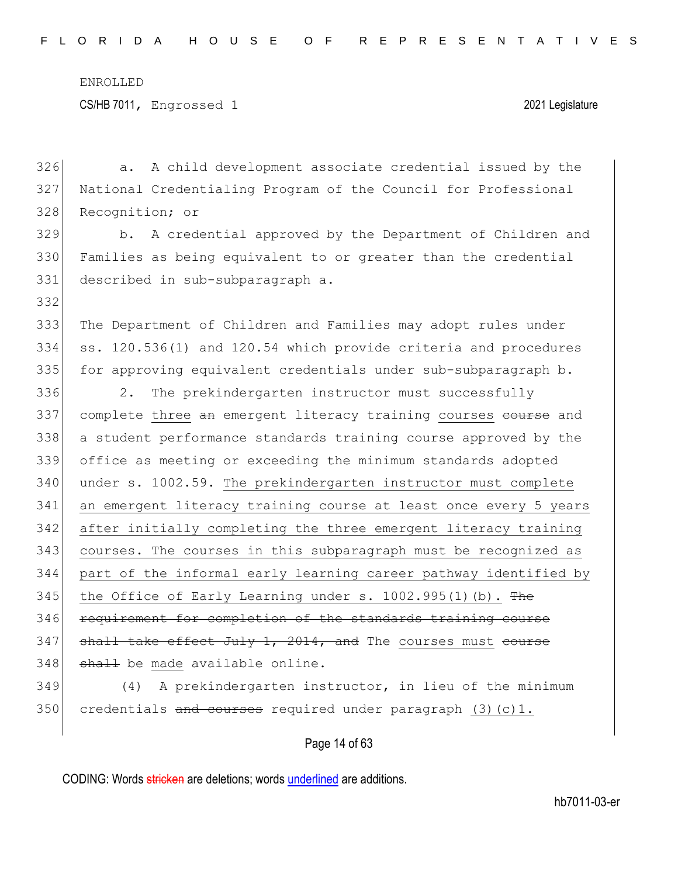332

326 a. A child development associate credential issued by the 327 National Credentialing Program of the Council for Professional 328 Recognition; or

329 b. A credential approved by the Department of Children and 330 Families as being equivalent to or greater than the credential 331 described in sub-subparagraph a.

333 The Department of Children and Families may adopt rules under 334 ss. 120.536(1) and 120.54 which provide criteria and procedures 335 for approving equivalent credentials under sub-subparagraph b.

336 2. The prekindergarten instructor must successfully 337 complete three an emergent literacy training courses course and 338 a student performance standards training course approved by the 339 office as meeting or exceeding the minimum standards adopted 340 under s. 1002.59. The prekindergarten instructor must complete 341 an emergent literacy training course at least once every 5 years 342 after initially completing the three emergent literacy training 343 courses. The courses in this subparagraph must be recognized as 344 part of the informal early learning career pathway identified by 345 the Office of Early Learning under s.  $1002.995(1)$  (b). The 346 requirement for completion of the standards training course  $347$  shall take effect July 1, 2014, and The courses must course  $348$  shall be made available online.

349 (4) A prekindergarten instructor, in lieu of the minimum 350 credentials and courses required under paragraph  $(3)(c)1$ .

Page 14 of 63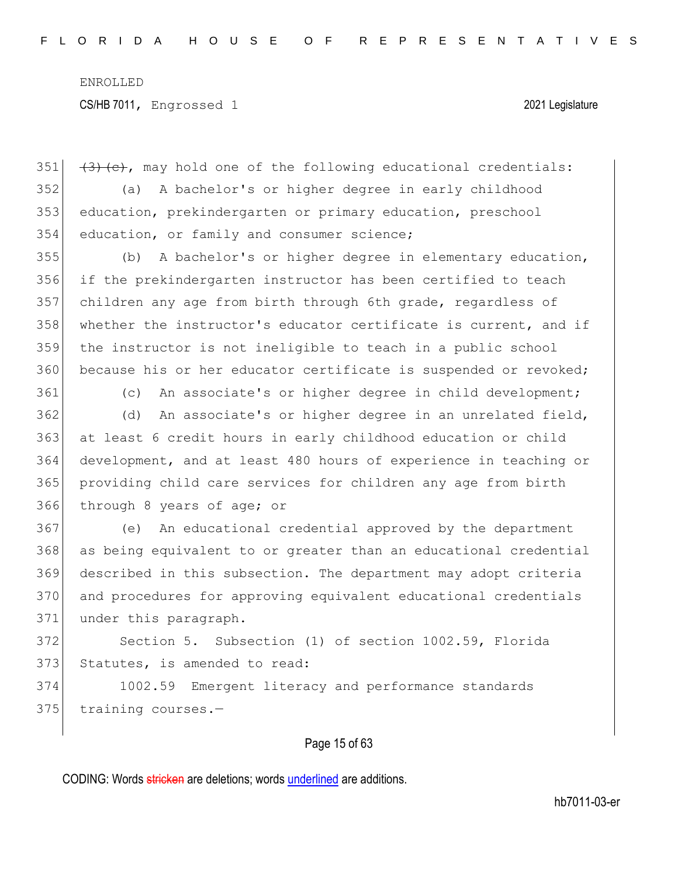$(3)$  (c), may hold one of the following educational credentials: (a) A bachelor's or higher degree in early childhood education, prekindergarten or primary education, preschool 354 education, or family and consumer science;

 (b) A bachelor's or higher degree in elementary education, if the prekindergarten instructor has been certified to teach children any age from birth through 6th grade, regardless of 358 whether the instructor's educator certificate is current, and if the instructor is not ineligible to teach in a public school 360 because his or her educator certificate is suspended or revoked;

361 (c) An associate's or higher degree in child development;

362 (d) An associate's or higher degree in an unrelated field, 363 at least 6 credit hours in early childhood education or child 364 development, and at least 480 hours of experience in teaching or 365 providing child care services for children any age from birth 366 through 8 years of age; or

 (e) An educational credential approved by the department as being equivalent to or greater than an educational credential described in this subsection. The department may adopt criteria and procedures for approving equivalent educational credentials 371 under this paragraph.

372 Section 5. Subsection (1) of section 1002.59, Florida 373 Statutes, is amended to read:

374 1002.59 Emergent literacy and performance standards 375 training courses.-

#### Page 15 of 63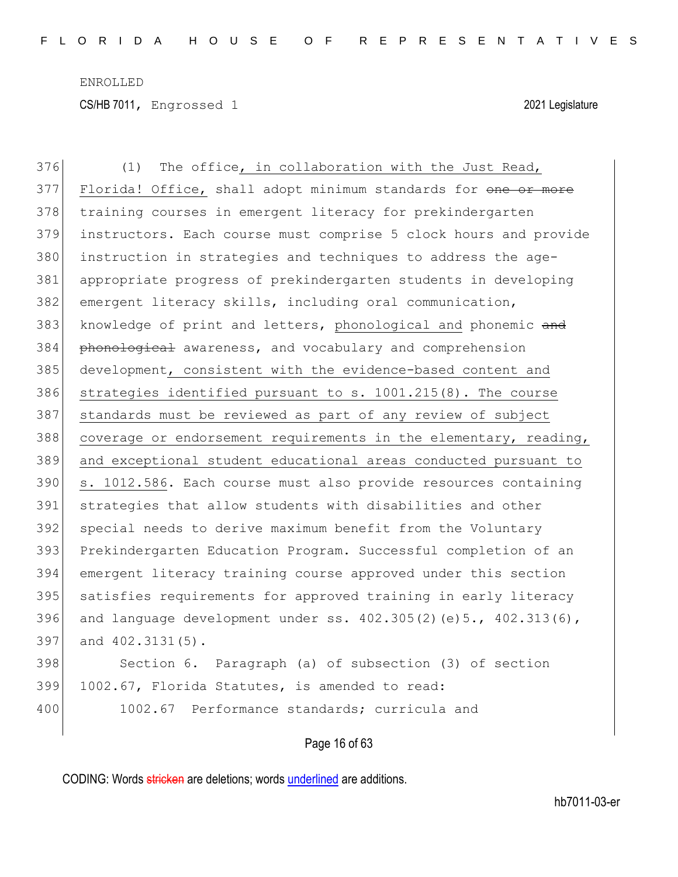376 (1) The office, in collaboration with the Just Read, 377 Florida! Office, shall adopt minimum standards for one or more 378 training courses in emergent literacy for prekindergarten 379 instructors. Each course must comprise 5 clock hours and provide 380 instruction in strategies and techniques to address the age-381 appropriate progress of prekindergarten students in developing 382 emergent literacy skills, including oral communication, 383 knowledge of print and letters, phonological and phonemic and 384 phonological awareness, and vocabulary and comprehension 385 development, consistent with the evidence-based content and 386 strategies identified pursuant to s. 1001.215(8). The course 387 standards must be reviewed as part of any review of subject 388 coverage or endorsement requirements in the elementary, reading, 389 and exceptional student educational areas conducted pursuant to 390 s. 1012.586. Each course must also provide resources containing 391 strategies that allow students with disabilities and other 392 special needs to derive maximum benefit from the Voluntary 393 Prekindergarten Education Program. Successful completion of an 394 emergent literacy training course approved under this section 395 satisfies requirements for approved training in early literacy 396 and language development under ss.  $402.305(2)(e)5., 402.313(6)$ , 397 and 402.3131(5). 398 Section 6. Paragraph (a) of subsection (3) of section 399 1002.67, Florida Statutes, is amended to read: 400 1002.67 Performance standards; curricula and

#### Page 16 of 63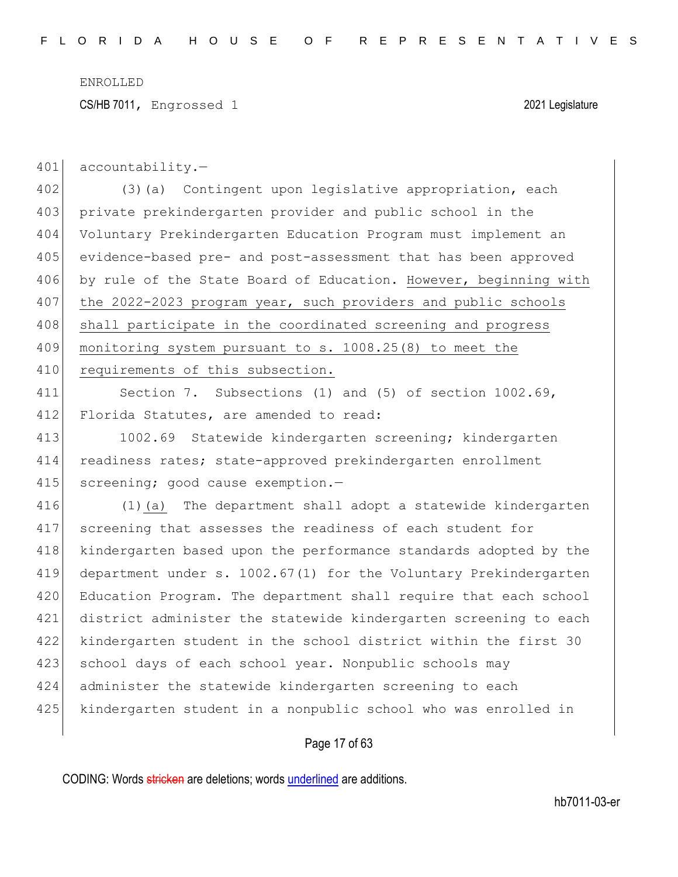CS/HB 7011, Engrossed 1 2021 Legislature

401 accountability.-

402 (3)(a) Contingent upon legislative appropriation, each 403 private prekindergarten provider and public school in the 404 Voluntary Prekindergarten Education Program must implement an 405 evidence-based pre- and post-assessment that has been approved 406 by rule of the State Board of Education. However, beginning with 407 the 2022-2023 program year, such providers and public schools 408 shall participate in the coordinated screening and progress 409 monitoring system pursuant to s. 1008.25(8) to meet the 410 requirements of this subsection.

411 Section 7. Subsections (1) and (5) of section 1002.69, 412 Florida Statutes, are amended to read:

413 1002.69 Statewide kindergarten screening; kindergarten 414 readiness rates; state-approved prekindergarten enrollment 415 screening; good cause exemption.-

 (1)(a) The department shall adopt a statewide kindergarten screening that assesses the readiness of each student for 418 kindergarten based upon the performance standards adopted by the department under s. 1002.67(1) for the Voluntary Prekindergarten 420 Education Program. The department shall require that each school district administer the statewide kindergarten screening to each kindergarten student in the school district within the first 30 423 school days of each school year. Nonpublic schools may administer the statewide kindergarten screening to each kindergarten student in a nonpublic school who was enrolled in

#### Page 17 of 63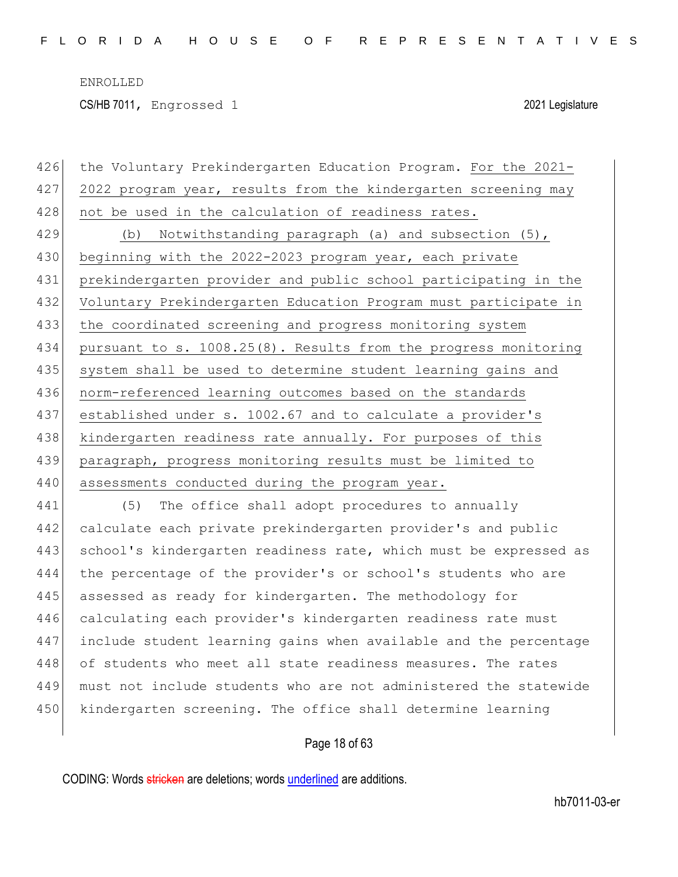426 the Voluntary Prekindergarten Education Program. For the 2021- 427 2022 program year, results from the kindergarten screening may 428 not be used in the calculation of readiness rates. 429 (b) Notwithstanding paragraph (a) and subsection (5), 430 beginning with the 2022-2023 program year, each private 431 prekindergarten provider and public school participating in the 432 Voluntary Prekindergarten Education Program must participate in 433 the coordinated screening and progress monitoring system 434 pursuant to s. 1008.25(8). Results from the progress monitoring 435 system shall be used to determine student learning gains and 436 norm-referenced learning outcomes based on the standards 437 established under s. 1002.67 and to calculate a provider's 438 kindergarten readiness rate annually. For purposes of this 439 paragraph, progress monitoring results must be limited to 440 assessments conducted during the program year. 441 (5) The office shall adopt procedures to annually

 calculate each private prekindergarten provider's and public 443 school's kindergarten readiness rate, which must be expressed as the percentage of the provider's or school's students who are 445 assessed as ready for kindergarten. The methodology for calculating each provider's kindergarten readiness rate must include student learning gains when available and the percentage 448 of students who meet all state readiness measures. The rates must not include students who are not administered the statewide kindergarten screening. The office shall determine learning

#### Page 18 of 63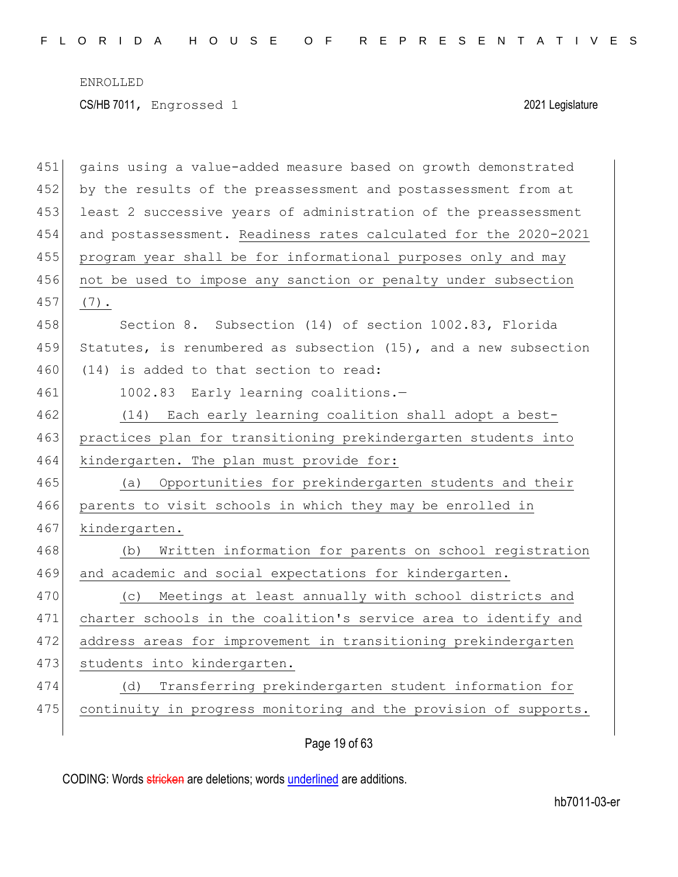| 451 | gains using a value-added measure based on growth demonstrated   |
|-----|------------------------------------------------------------------|
| 452 | by the results of the preassessment and postassessment from at   |
| 453 | least 2 successive years of administration of the preassessment  |
| 454 | and postassessment. Readiness rates calculated for the 2020-2021 |
| 455 | program year shall be for informational purposes only and may    |
| 456 | not be used to impose any sanction or penalty under subsection   |
| 457 | $(7)$ .                                                          |
| 458 | Section 8. Subsection (14) of section 1002.83, Florida           |
| 459 | Statutes, is renumbered as subsection (15), and a new subsection |
| 460 | (14) is added to that section to read:                           |
| 461 | 1002.83 Early learning coalitions.-                              |
| 462 | (14) Each early learning coalition shall adopt a best-           |
| 463 | practices plan for transitioning prekindergarten students into   |
| 464 | kindergarten. The plan must provide for:                         |
| 465 | Opportunities for prekindergarten students and their<br>(a)      |
| 466 | parents to visit schools in which they may be enrolled in        |
| 467 | kindergarten.                                                    |
| 468 | Written information for parents on school registration<br>(b)    |
| 469 | and academic and social expectations for kindergarten.           |
| 470 | (c) Meetings at least annually with school districts and         |
| 471 | charter schools in the coalition's service area to identify and  |
| 472 | address areas for improvement in transitioning prekindergarten   |
| 473 | students into kindergarten.                                      |
| 474 | Transferring prekindergarten student information for<br>(d)      |
| 475 | continuity in progress monitoring and the provision of supports. |
|     |                                                                  |

Page 19 of 63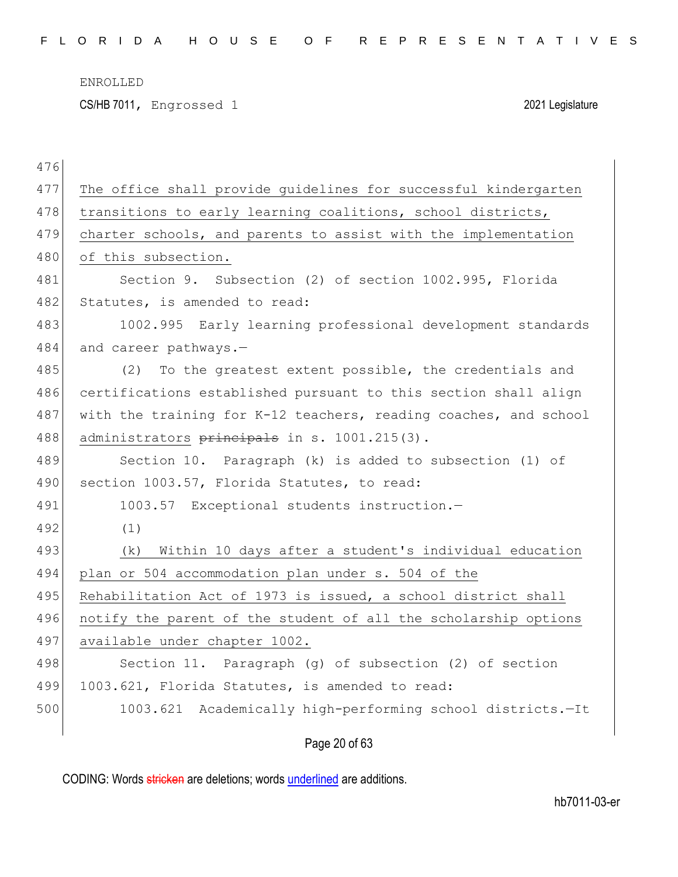CS/HB 7011, Engrossed 1 2021 Legislature

|     | Page 20 of 63                                                    |
|-----|------------------------------------------------------------------|
| 500 | Academically high-performing school districts.-It<br>1003.621    |
| 499 | 1003.621, Florida Statutes, is amended to read:                  |
| 498 | Section 11. Paragraph (g) of subsection (2) of section           |
| 497 | available under chapter 1002.                                    |
| 496 | notify the parent of the student of all the scholarship options  |
| 495 | Rehabilitation Act of 1973 is issued, a school district shall    |
| 494 | plan or 504 accommodation plan under s. 504 of the               |
| 493 | (k) Within 10 days after a student's individual education        |
| 492 | (1)                                                              |
| 491 | 1003.57 Exceptional students instruction.-                       |
| 490 | section 1003.57, Florida Statutes, to read:                      |
| 489 | Section 10. Paragraph (k) is added to subsection (1) of          |
|     |                                                                  |
| 488 | administrators principals in s. 1001.215(3).                     |
| 487 | with the training for K-12 teachers, reading coaches, and school |
| 486 | certifications established pursuant to this section shall align  |
| 485 | (2) To the greatest extent possible, the credentials and         |
| 484 | and career pathways.-                                            |
| 483 | 1002.995 Early learning professional development standards       |
| 482 | Statutes, is amended to read:                                    |
| 481 | Section 9. Subsection (2) of section 1002.995, Florida           |
| 480 | of this subsection.                                              |
| 479 | charter schools, and parents to assist with the implementation   |
| 478 | transitions to early learning coalitions, school districts,      |
| 477 | The office shall provide quidelines for successful kindergarten  |
| 476 |                                                                  |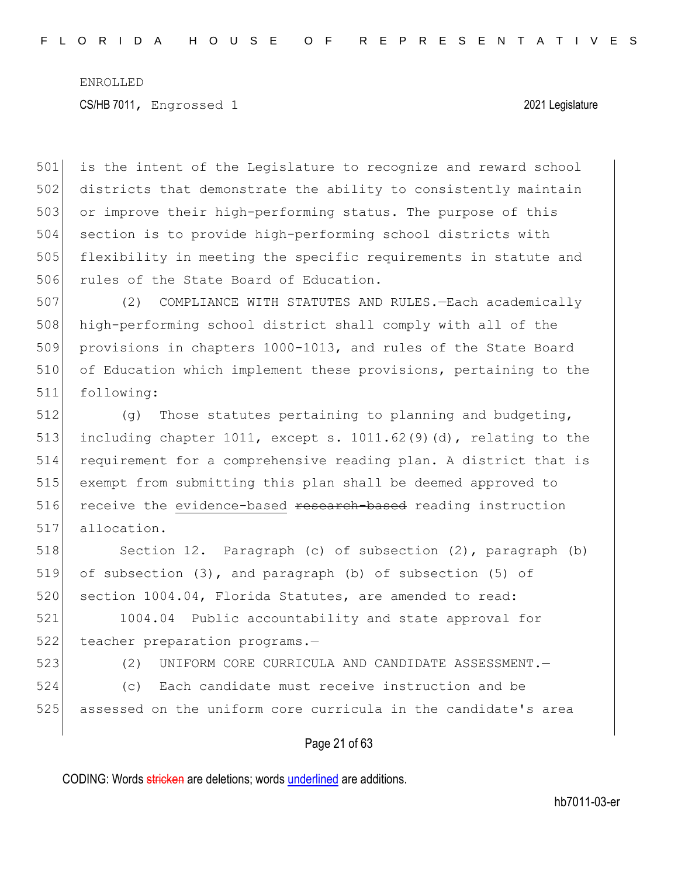is the intent of the Legislature to recognize and reward school districts that demonstrate the ability to consistently maintain 503 or improve their high-performing status. The purpose of this section is to provide high-performing school districts with flexibility in meeting the specific requirements in statute and 506 rules of the State Board of Education.

 (2) COMPLIANCE WITH STATUTES AND RULES.—Each academically high-performing school district shall comply with all of the 509 provisions in chapters 1000-1013, and rules of the State Board of Education which implement these provisions, pertaining to the following:

512 (g) Those statutes pertaining to planning and budgeting, 513 including chapter 1011, except s. 1011.62(9)(d), relating to the 514 requirement for a comprehensive reading plan. A district that is 515 exempt from submitting this plan shall be deemed approved to 516 receive the evidence-based research-based reading instruction 517 allocation.

518 Section 12. Paragraph (c) of subsection (2), paragraph (b) 519 of subsection (3), and paragraph (b) of subsection (5) of 520 section 1004.04, Florida Statutes, are amended to read:

521 1004.04 Public accountability and state approval for 522 teacher preparation programs.-

523 (2) UNIFORM CORE CURRICULA AND CANDIDATE ASSESSMENT.—

524 (c) Each candidate must receive instruction and be

525 assessed on the uniform core curricula in the candidate's area

#### Page 21 of 63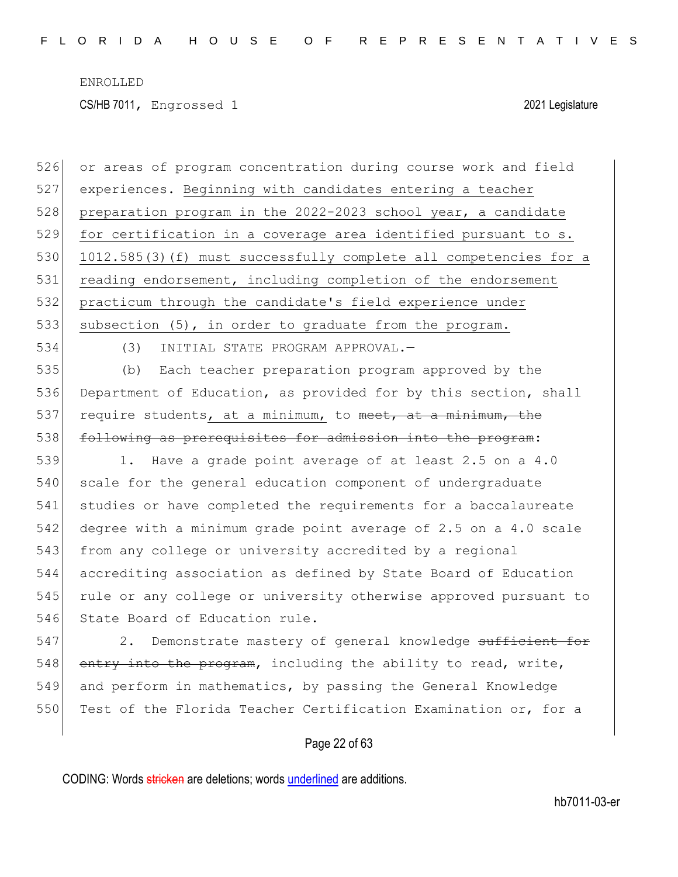CS/HB 7011, Engrossed 1 2021 Legislature

526 or areas of program concentration during course work and field 527 experiences. Beginning with candidates entering a teacher 528 preparation program in the 2022-2023 school year, a candidate 529 for certification in a coverage area identified pursuant to s. 530 1012.585(3)(f) must successfully complete all competencies for a 531 reading endorsement, including completion of the endorsement 532 practicum through the candidate's field experience under 533 subsection (5), in order to graduate from the program. 534 (3) INITIAL STATE PROGRAM APPROVAL.— 535 (b) Each teacher preparation program approved by the 536 Department of Education, as provided for by this section, shall 537 require students, at a minimum, to meet, at a minimum, the 538 following as prerequisites for admission into the program: 539 1. Have a grade point average of at least 2.5 on a 4.0 540 scale for the general education component of undergraduate 541 studies or have completed the requirements for a baccalaureate 542 degree with a minimum grade point average of 2.5 on a 4.0 scale 543 from any college or university accredited by a regional 544 accrediting association as defined by State Board of Education 545 rule or any college or university otherwise approved pursuant to 546 State Board of Education rule.

547 2. Demonstrate mastery of general knowledge sufficient for 548 entry into the program, including the ability to read, write, 549 and perform in mathematics, by passing the General Knowledge 550 Test of the Florida Teacher Certification Examination or, for a

#### Page 22 of 63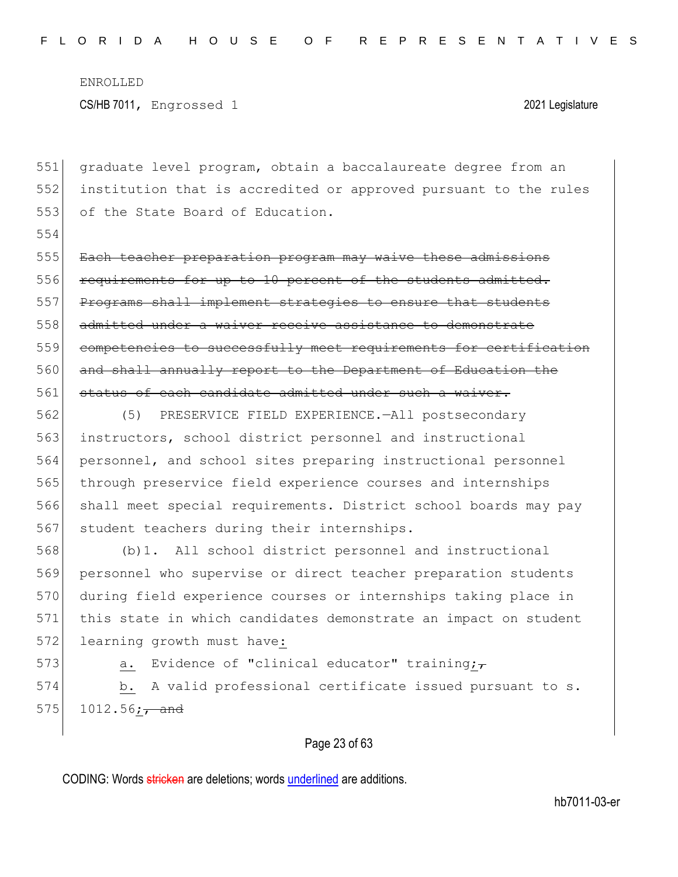554

551 graduate level program, obtain a baccalaureate degree from an 552 institution that is accredited or approved pursuant to the rules 553 of the State Board of Education.

555 Each teacher preparation program may waive these admissions 556 requirements for up to 10 percent of the students admitted. 557 Programs shall implement strategies to ensure that students 558 admitted under a waiver receive assistance to demonstrate 559 competencies to successfully meet requirements for certification 560 and shall annually report to the Department of Education the 561 status of each candidate admitted under such a waiver.

 (5) PRESERVICE FIELD EXPERIENCE.—All postsecondary 563 instructors, school district personnel and instructional personnel, and school sites preparing instructional personnel through preservice field experience courses and internships shall meet special requirements. District school boards may pay 567 student teachers during their internships.

568 (b)1. All school district personnel and instructional 569 personnel who supervise or direct teacher preparation students 570 during field experience courses or internships taking place in 571 this state in which candidates demonstrate an impact on student 572 learning growth must have:

573 a. Evidence of "clinical educator" training; $\tau$ 574 b. A valid professional certificate issued pursuant to s.  $575$  1012.56; and

#### Page 23 of 63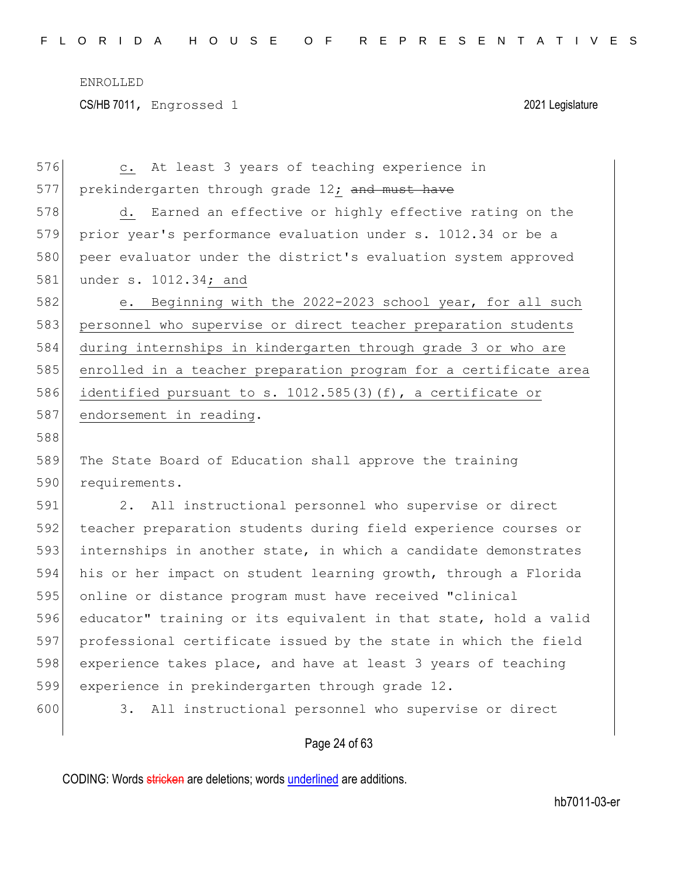| 576 | c. At least 3 years of teaching experience in                            |
|-----|--------------------------------------------------------------------------|
| 577 | prekindergarten through grade 12; and must have                          |
| 578 | d. Earned an effective or highly effective rating on the                 |
| 579 | prior year's performance evaluation under s. 1012.34 or be a             |
| 580 | peer evaluator under the district's evaluation system approved           |
| 581 | under s. 1012.34; and                                                    |
| 582 | Beginning with the 2022-2023 school year, for all such<br>e <sub>1</sub> |
| 583 | personnel who supervise or direct teacher preparation students           |
| 584 | during internships in kindergarten through grade 3 or who are            |
| 585 | enrolled in a teacher preparation program for a certificate area         |
| 586 | identified pursuant to s. 1012.585(3)(f), a certificate or               |
| 587 | endorsement in reading.                                                  |
| 588 |                                                                          |
| 589 | The State Board of Education shall approve the training                  |
| 590 | requirements.                                                            |
| 591 | All instructional personnel who supervise or direct<br>2.                |
| 592 | teacher preparation students during field experience courses or          |
| 593 | internships in another state, in which a candidate demonstrates          |
| 594 | his or her impact on student learning growth, through a Florida          |
| 595 | online or distance program must have received "clinical                  |
| 596 | educator" training or its equivalent in that state, hold a valid         |
| 597 | professional certificate issued by the state in which the field          |
| 598 | experience takes place, and have at least 3 years of teaching            |
| 599 |                                                                          |
|     | experience in prekindergarten through grade 12.                          |

## Page 24 of 63

CODING: Words stricken are deletions; words underlined are additions.

 $\overline{\phantom{a}}$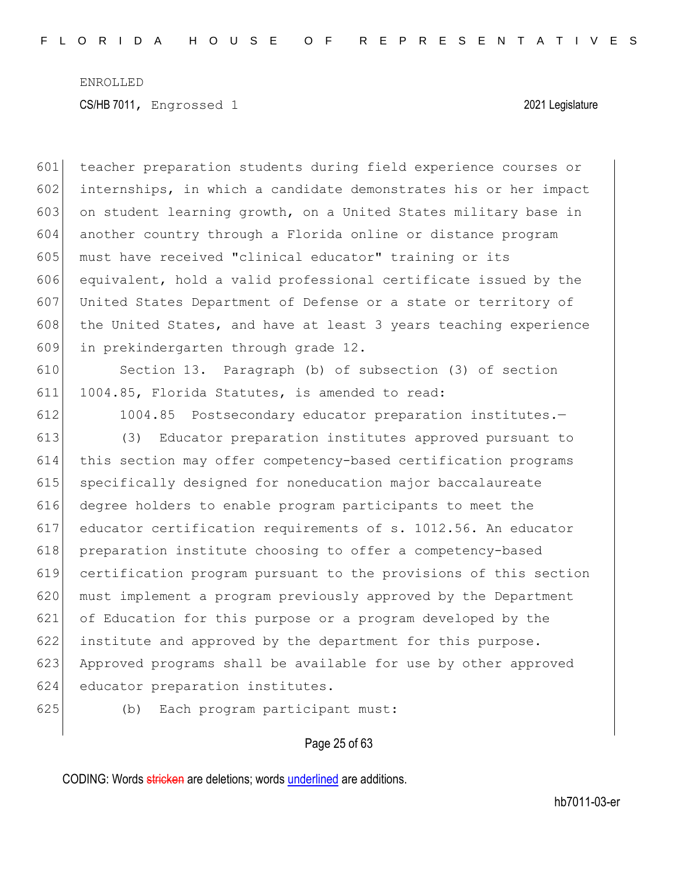teacher preparation students during field experience courses or internships, in which a candidate demonstrates his or her impact on student learning growth, on a United States military base in another country through a Florida online or distance program must have received "clinical educator" training or its equivalent, hold a valid professional certificate issued by the United States Department of Defense or a state or territory of 608 the United States, and have at least 3 years teaching experience in prekindergarten through grade 12.

 Section 13. Paragraph (b) of subsection (3) of section 1004.85, Florida Statutes, is amended to read:

612 1004.85 Postsecondary educator preparation institutes.-

 (3) Educator preparation institutes approved pursuant to this section may offer competency-based certification programs specifically designed for noneducation major baccalaureate degree holders to enable program participants to meet the educator certification requirements of s. 1012.56. An educator 618 preparation institute choosing to offer a competency-based certification program pursuant to the provisions of this section must implement a program previously approved by the Department of Education for this purpose or a program developed by the 622 institute and approved by the department for this purpose. 623 Approved programs shall be available for use by other approved educator preparation institutes.

(b) Each program participant must:

#### Page 25 of 63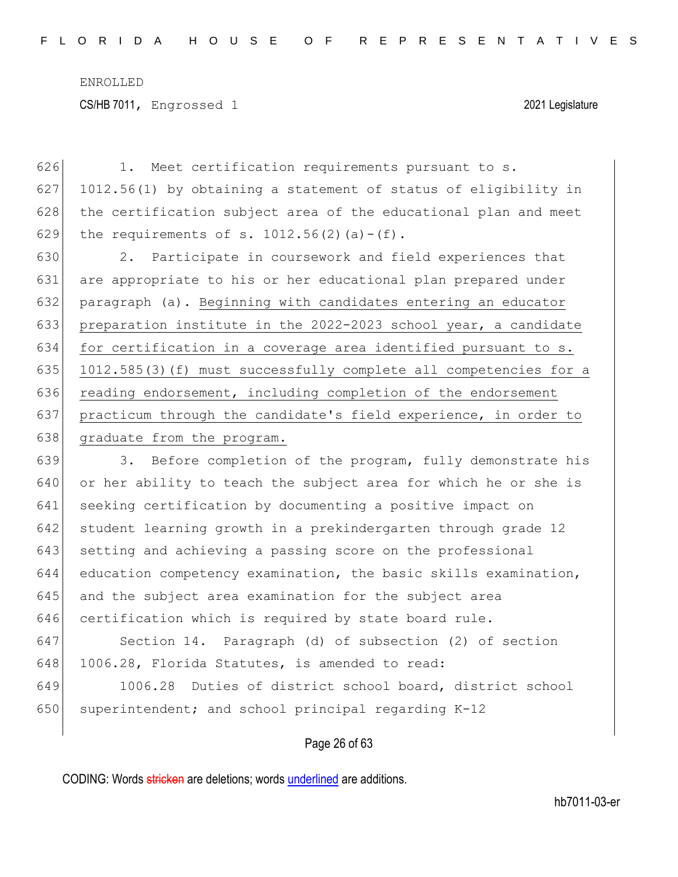| 626 | Meet certification requirements pursuant to s.<br>1.             |
|-----|------------------------------------------------------------------|
| 627 | 1012.56(1) by obtaining a statement of status of eligibility in  |
| 628 | the certification subject area of the educational plan and meet  |
| 629 | the requirements of s. $1012.56(2)$ (a) - (f).                   |
| 630 | 2. Participate in coursework and field experiences that          |
| 631 | are appropriate to his or her educational plan prepared under    |
| 632 | paragraph (a). Beginning with candidates entering an educator    |
| 633 | preparation institute in the 2022-2023 school year, a candidate  |
| 634 | for certification in a coverage area identified pursuant to s.   |
| 635 | 1012.585(3)(f) must successfully complete all competencies for a |
| 636 | reading endorsement, including completion of the endorsement     |
| 637 | practicum through the candidate's field experience, in order to  |
| 638 | graduate from the program.                                       |
| 639 | Before completion of the program, fully demonstrate his<br>3.    |
| 640 | or her ability to teach the subject area for which he or she is  |
| 641 | seeking certification by documenting a positive impact on        |
| 642 | student learning growth in a prekindergarten through grade 12    |
| 643 | setting and achieving a passing score on the professional        |
| 644 | education competency examination, the basic skills examination,  |
| 645 | and the subject area examination for the subject area            |
| 646 | certification which is required by state board rule.             |
| 647 | Section 14. Paragraph (d) of subsection (2) of section           |
| 648 | 1006.28, Florida Statutes, is amended to read:                   |
| 649 | Duties of district school board, district school<br>1006.28      |

## Page 26 of 63

CODING: Words stricken are deletions; words underlined are additions.

650 superintendent; and school principal regarding  $K-12$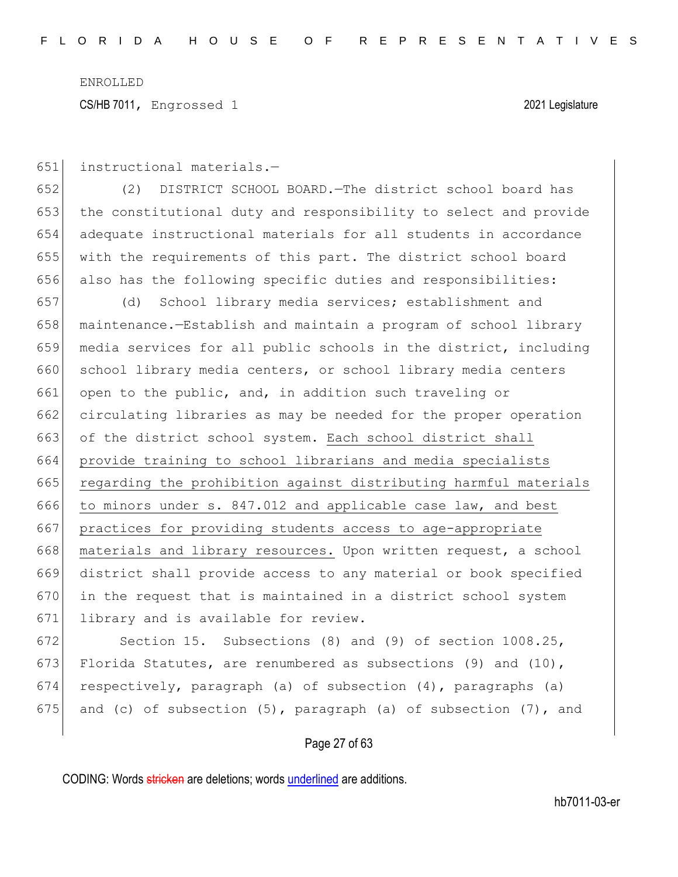CS/HB 7011, Engrossed 1 2021 Legislature

651 instructional materials.—

 (2) DISTRICT SCHOOL BOARD.—The district school board has the constitutional duty and responsibility to select and provide adequate instructional materials for all students in accordance with the requirements of this part. The district school board 656 also has the following specific duties and responsibilities:

657 (d) School library media services; establishment and 658 maintenance.—Establish and maintain a program of school library 659 media services for all public schools in the district, including 660 school library media centers, or school library media centers 661 open to the public, and, in addition such traveling or 662 circulating libraries as may be needed for the proper operation 663 of the district school system. Each school district shall 664 provide training to school librarians and media specialists 665 regarding the prohibition against distributing harmful materials 666 to minors under s. 847.012 and applicable case law, and best 667 practices for providing students access to age-appropriate 668 materials and library resources. Upon written request, a school 669 district shall provide access to any material or book specified  $670$  in the request that is maintained in a district school system 671 library and is available for review.

672 Section 15. Subsections (8) and (9) of section 1008.25, 673 Florida Statutes, are renumbered as subsections (9) and (10), 674 respectively, paragraph (a) of subsection  $(4)$ , paragraphs (a) 675 and (c) of subsection  $(5)$ , paragraph (a) of subsection  $(7)$ , and

#### Page 27 of 63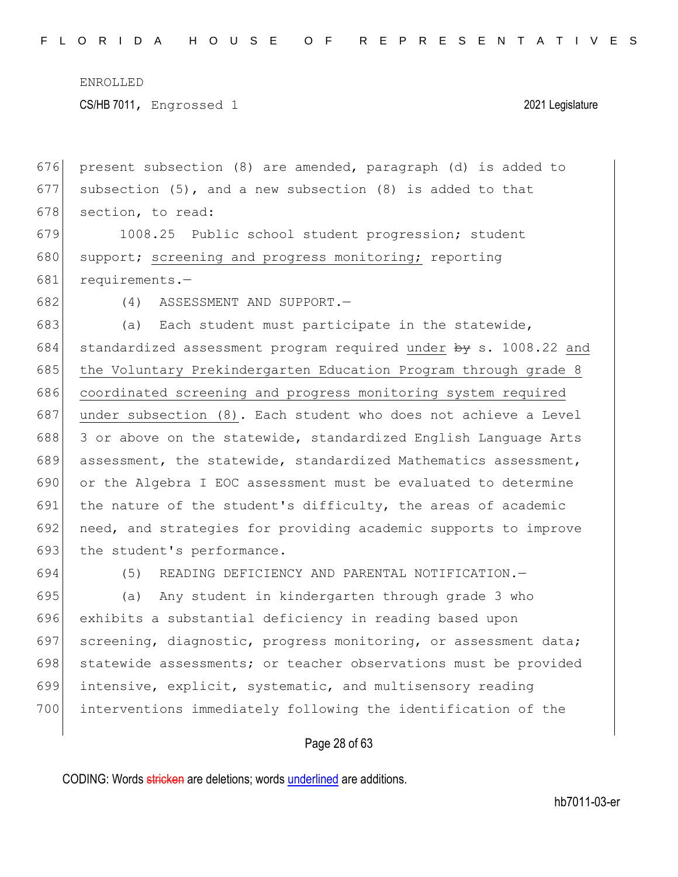CS/HB 7011, Engrossed 1 2021 Legislature

676 present subsection (8) are amended, paragraph (d) is added to 677 subsection (5), and a new subsection (8) is added to that 678 section, to read:

679 1008.25 Public school student progression; student 680 support; screening and progress monitoring; reporting 681 requirements.—

682 (4) ASSESSMENT AND SUPPORT.—

683 (a) Each student must participate in the statewide, 684 standardized assessment program required under  $\frac{1}{2}$  s. 1008.22 and 685 the Voluntary Prekindergarten Education Program through grade 8 686 coordinated screening and progress monitoring system required 687 | under subsection (8). Each student who does not achieve a Level 688 3 or above on the statewide, standardized English Language Arts 689 assessment, the statewide, standardized Mathematics assessment, 690 or the Algebra I EOC assessment must be evaluated to determine 691 the nature of the student's difficulty, the areas of academic 692 need, and strategies for providing academic supports to improve 693 the student's performance.

694 (5) READING DEFICIENCY AND PARENTAL NOTIFICATION.—

 (a) Any student in kindergarten through grade 3 who exhibits a substantial deficiency in reading based upon 697 screening, diagnostic, progress monitoring, or assessment data; 698 statewide assessments; or teacher observations must be provided intensive, explicit, systematic, and multisensory reading interventions immediately following the identification of the

#### Page 28 of 63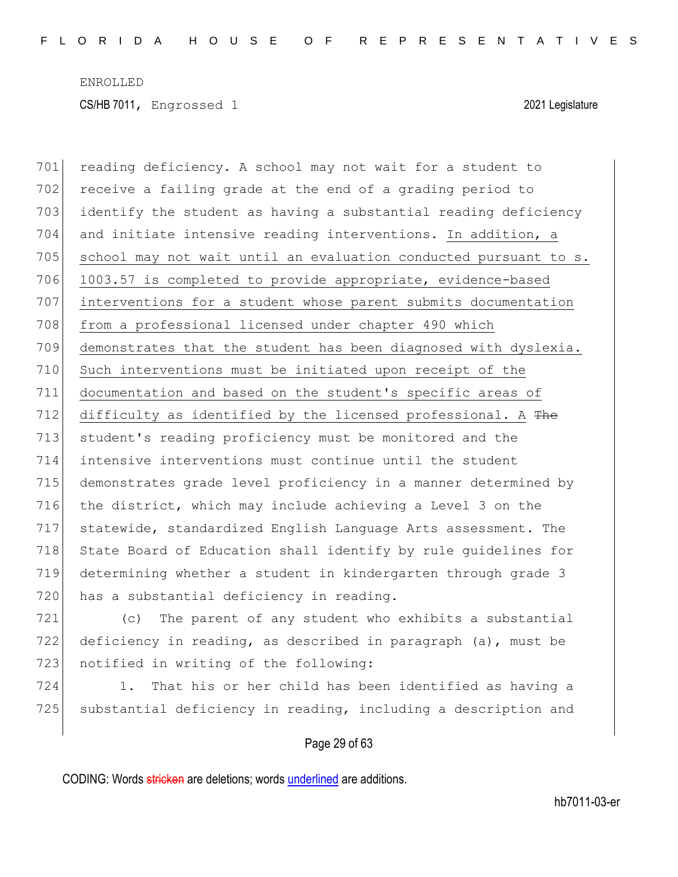701 reading deficiency. A school may not wait for a student to 702 receive a failing grade at the end of a grading period to 703 identify the student as having a substantial reading deficiency 704 and initiate intensive reading interventions. In addition, a  $705$  school may not wait until an evaluation conducted pursuant to s. 706 1003.57 is completed to provide appropriate, evidence-based 707 interventions for a student whose parent submits documentation 708 from a professional licensed under chapter 490 which 709 demonstrates that the student has been diagnosed with dyslexia. 710 Such interventions must be initiated upon receipt of the 711 documentation and based on the student's specific areas of 712 difficulty as identified by the licensed professional. A  $The$ 713 student's reading proficiency must be monitored and the 714 intensive interventions must continue until the student 715 demonstrates grade level proficiency in a manner determined by 716 the district, which may include achieving a Level 3 on the 717 statewide, standardized English Language Arts assessment. The 718 State Board of Education shall identify by rule quidelines for 719 determining whether a student in kindergarten through grade 3 720 has a substantial deficiency in reading.

721 (c) The parent of any student who exhibits a substantial 722 deficiency in reading, as described in paragraph (a), must be 723 notified in writing of the following:

724 1. That his or her child has been identified as having a 725 substantial deficiency in reading, including a description and

#### Page 29 of 63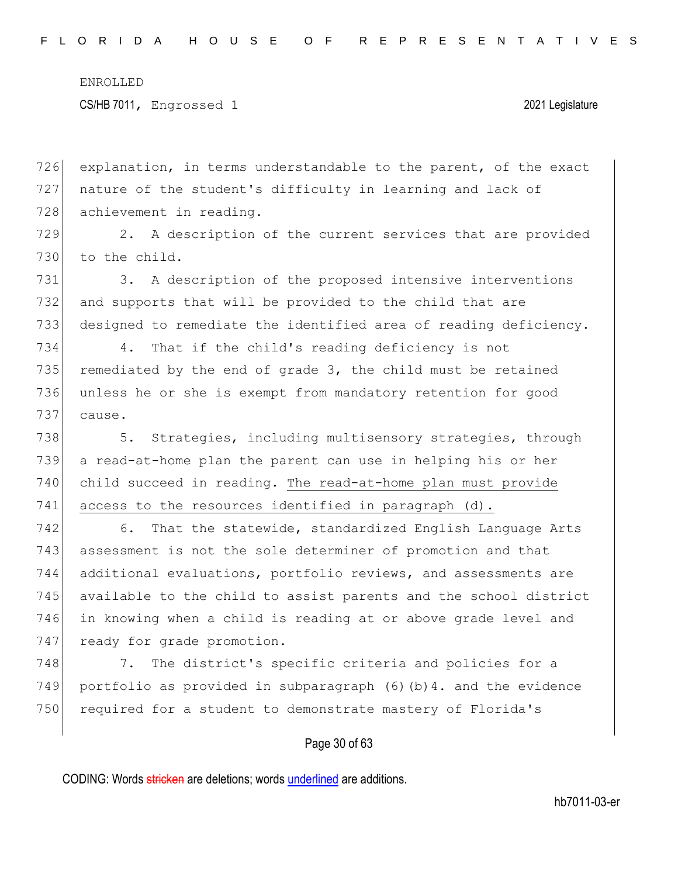CS/HB 7011, Engrossed 1 2021 Legislature

726 explanation, in terms understandable to the parent, of the exact 727 nature of the student's difficulty in learning and lack of 728 achievement in reading.

729 2. A description of the current services that are provided 730 to the child.

731 3. A description of the proposed intensive interventions 732 and supports that will be provided to the child that are 733 designed to remediate the identified area of reading deficiency.

734 4. That if the child's reading deficiency is not 735 remediated by the end of grade  $3$ , the child must be retained 736 unless he or she is exempt from mandatory retention for good 737 cause.

738 5. Strategies, including multisensory strategies, through 739 a read-at-home plan the parent can use in helping his or her 740 child succeed in reading. The read-at-home plan must provide 741 access to the resources identified in paragraph (d).

742 6. That the statewide, standardized English Language Arts 743 assessment is not the sole determiner of promotion and that 744 additional evaluations, portfolio reviews, and assessments are 745 available to the child to assist parents and the school district 746 in knowing when a child is reading at or above grade level and 747 ready for grade promotion.

748 7. The district's specific criteria and policies for a 749 portfolio as provided in subparagraph (6)(b)4. and the evidence 750 required for a student to demonstrate mastery of Florida's

#### Page 30 of 63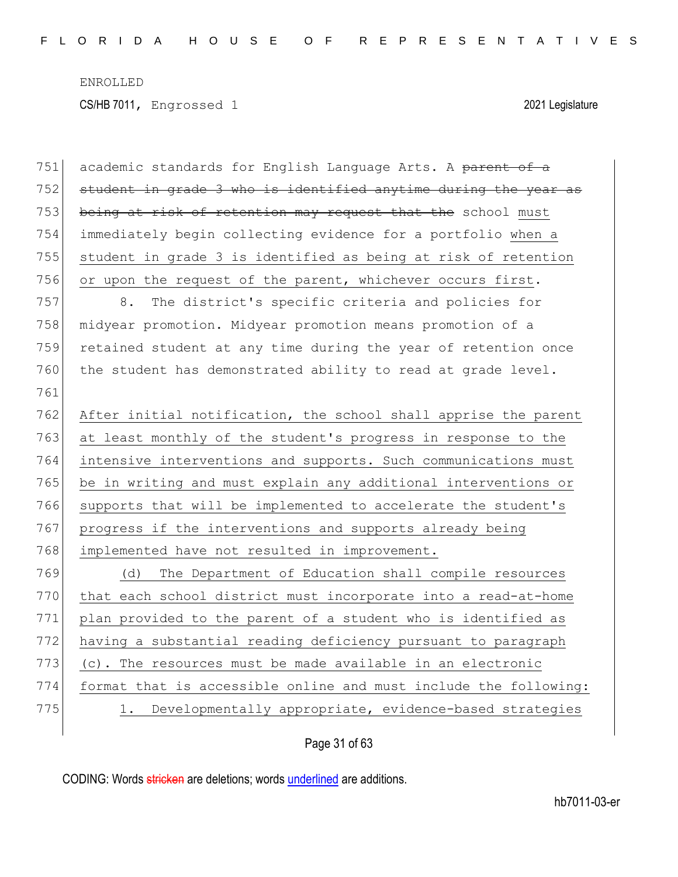CS/HB 7011, Engrossed 1 2021 Legislature

| 751 | academic standards for English Language Arts. A parent of a      |
|-----|------------------------------------------------------------------|
| 752 | student in grade 3 who is identified anytime during the year as  |
| 753 | being at risk of retention may request that the school must      |
| 754 | immediately begin collecting evidence for a portfolio when a     |
| 755 | student in grade 3 is identified as being at risk of retention   |
| 756 | or upon the request of the parent, whichever occurs first.       |
| 757 | The district's specific criteria and policies for<br>8.          |
| 758 | midyear promotion. Midyear promotion means promotion of a        |
| 759 | retained student at any time during the year of retention once   |
| 760 | the student has demonstrated ability to read at grade level.     |
| 761 |                                                                  |
| 762 | After initial notification, the school shall apprise the parent  |
| 763 | at least monthly of the student's progress in response to the    |
| 764 | intensive interventions and supports. Such communications must   |
| 765 | be in writing and must explain any additional interventions or   |
| 766 | supports that will be implemented to accelerate the student's    |
| 767 | progress if the interventions and supports already being         |
| 768 | implemented have not resulted in improvement.                    |
| 769 | The Department of Education shall compile resources<br>(d)       |
| 770 | that each school district must incorporate into a read-at-home   |
| 771 | plan provided to the parent of a student who is identified as    |
| 772 | having a substantial reading deficiency pursuant to paragraph    |
| 773 | (c). The resources must be made available in an electronic       |
| 774 | format that is accessible online and must include the following: |
| 775 | Developmentally appropriate, evidence-based strategies           |
|     |                                                                  |

## Page 31 of 63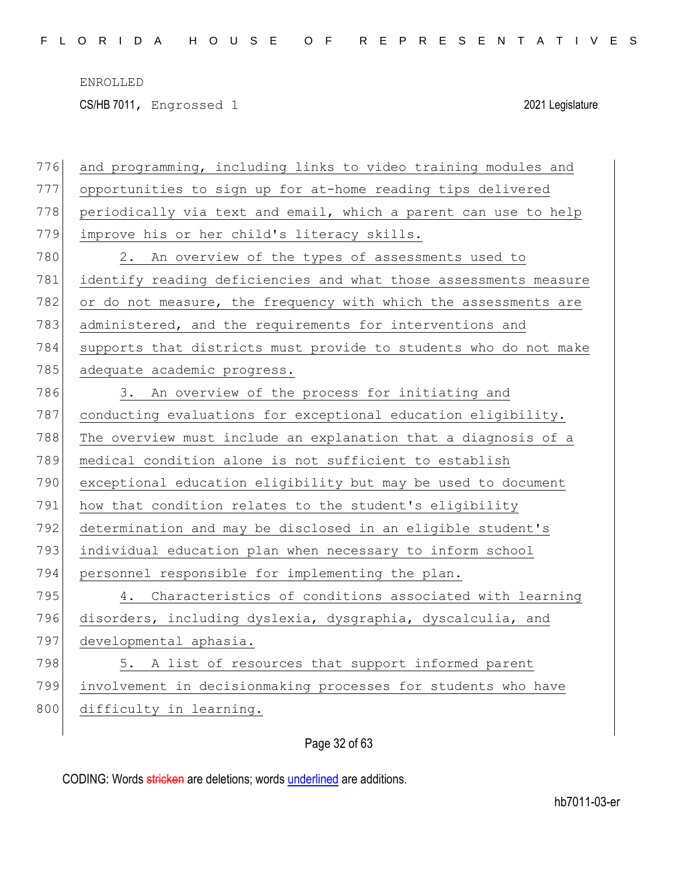CS/HB 7011, Engrossed 1 2021 Legislature

| 776 | and programming, including links to video training modules and   |
|-----|------------------------------------------------------------------|
| 777 | opportunities to sign up for at-home reading tips delivered      |
| 778 | periodically via text and email, which a parent can use to help  |
| 779 | improve his or her child's literacy skills.                      |
| 780 | 2. An overview of the types of assessments used to               |
| 781 | identify reading deficiencies and what those assessments measure |
| 782 | or do not measure, the frequency with which the assessments are  |
| 783 | administered, and the requirements for interventions and         |
| 784 | supports that districts must provide to students who do not make |
| 785 | adequate academic progress.                                      |
| 786 | An overview of the process for initiating and<br>3.              |
| 787 | conducting evaluations for exceptional education eligibility.    |
| 788 | The overview must include an explanation that a diagnosis of a   |
| 789 | medical condition alone is not sufficient to establish           |
| 790 | exceptional education eligibility but may be used to document    |
| 791 | how that condition relates to the student's eligibility          |
| 792 | determination and may be disclosed in an eligible student's      |
| 793 | individual education plan when necessary to inform school        |
| 794 | personnel responsible for implementing the plan.                 |
| 795 | Characteristics of conditions associated with learning<br>4.     |
| 796 | disorders, including dyslexia, dysgraphia, dyscalculia, and      |
| 797 | developmental aphasia.                                           |
| 798 | 5. A list of resources that support informed parent              |
| 799 | involvement in decisionmaking processes for students who have    |
| 800 | difficulty in learning.                                          |
|     |                                                                  |

## Page 32 of 63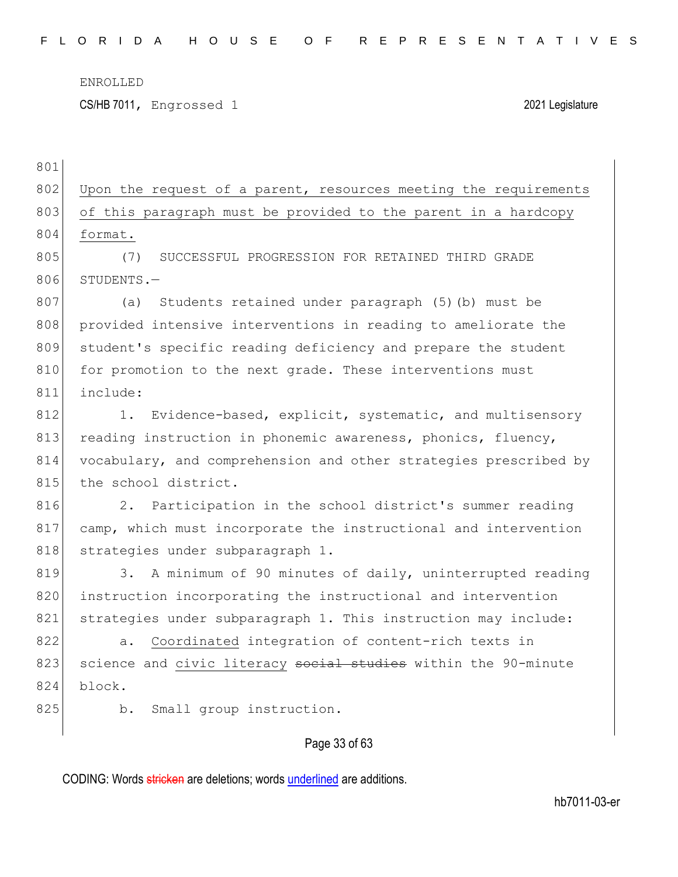801

CS/HB 7011, Engrossed 1 2021 Legislature

Page 33 of 63 802 Upon the request of a parent, resources meeting the requirements 803 of this paragraph must be provided to the parent in a hardcopy 804 format. 805 (7) SUCCESSFUL PROGRESSION FOR RETAINED THIRD GRADE 806 STUDENTS.-807 (a) Students retained under paragraph (5)(b) must be 808 provided intensive interventions in reading to ameliorate the 809 student's specific reading deficiency and prepare the student 810 for promotion to the next grade. These interventions must 811 include: 812 1. Evidence-based, explicit, systematic, and multisensory 813 reading instruction in phonemic awareness, phonics, fluency, 814 vocabulary, and comprehension and other strategies prescribed by 815 the school district. 816 2. Participation in the school district's summer reading 817 camp, which must incorporate the instructional and intervention 818 strategies under subparagraph 1. 819 3. A minimum of 90 minutes of daily, uninterrupted reading 820 instruction incorporating the instructional and intervention 821 strategies under subparagraph 1. This instruction may include: 822 a. Coordinated integration of content-rich texts in 823 science and civic literacy social studies within the 90-minute 824 block. 825 b. Small group instruction.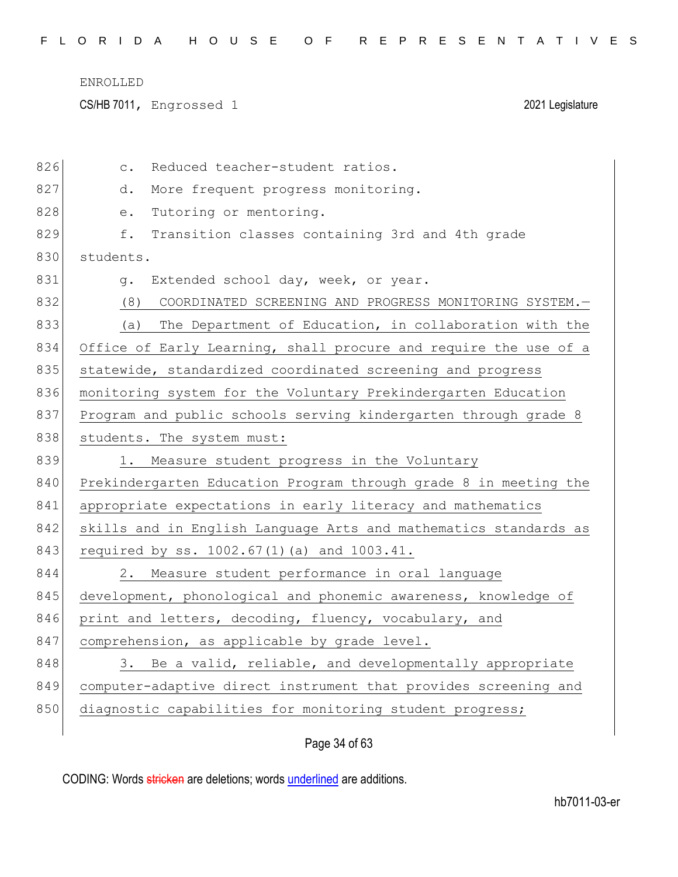CS/HB 7011, Engrossed 1 2021 Legislature

| 826 | Reduced teacher-student ratios.<br>$\mathsf{C}$ .                                              |
|-----|------------------------------------------------------------------------------------------------|
| 827 | More frequent progress monitoring.<br>d.                                                       |
| 828 | Tutoring or mentoring.<br>$\mathrel{\mathop{\text{e}}\mathrel{\mathop{\text{--}}\nolimits}}$ . |
| 829 | Transition classes containing 3rd and 4th grade<br>f.                                          |
| 830 | students.                                                                                      |
| 831 | Extended school day, week, or year.<br>$q$ .                                                   |
| 832 | COORDINATED SCREENING AND PROGRESS MONITORING SYSTEM.-<br>(8)                                  |
| 833 | The Department of Education, in collaboration with the<br>(a)                                  |
| 834 | Office of Early Learning, shall procure and require the use of a                               |
| 835 | statewide, standardized coordinated screening and progress                                     |
| 836 | monitoring system for the Voluntary Prekindergarten Education                                  |
| 837 | Program and public schools serving kindergarten through grade 8                                |
| 838 | students. The system must:                                                                     |
|     |                                                                                                |
| 839 | 1. Measure student progress in the Voluntary                                                   |
| 840 | Prekindergarten Education Program through grade 8 in meeting the                               |
| 841 | appropriate expectations in early literacy and mathematics                                     |
| 842 | skills and in English Language Arts and mathematics standards as                               |
| 843 | required by ss. 1002.67(1)(a) and 1003.41.                                                     |
| 844 | 2. Measure student performance in oral language                                                |
| 845 | development, phonological and phonemic awareness, knowledge of                                 |
| 846 | print and letters, decoding, fluency, vocabulary, and                                          |
| 847 | comprehension, as applicable by grade level.                                                   |
| 848 | 3. Be a valid, reliable, and developmentally appropriate                                       |
| 849 | computer-adaptive direct instrument that provides screening and                                |
| 850 | diagnostic capabilities for monitoring student progress;                                       |

## Page 34 of 63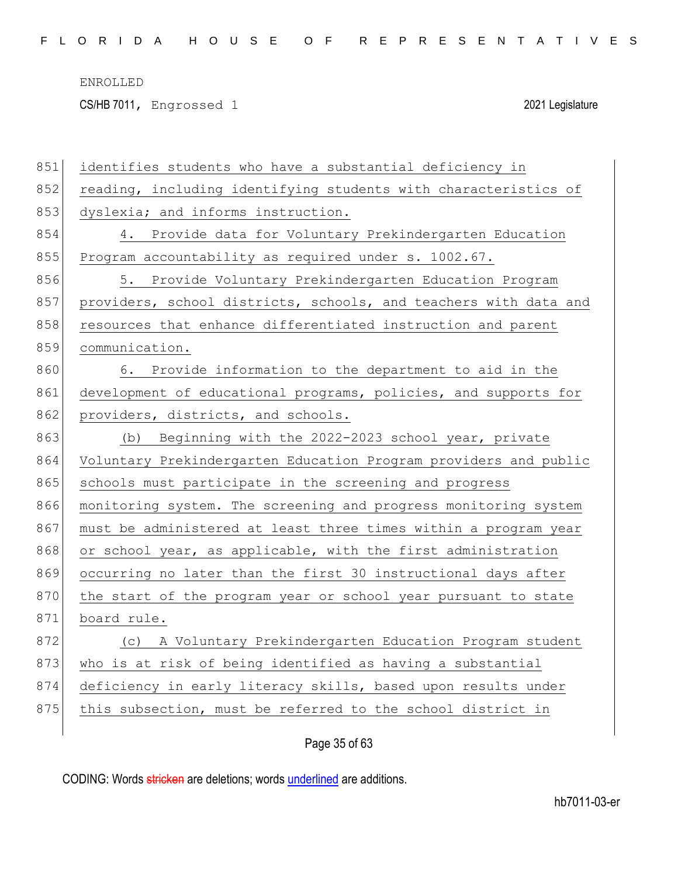CS/HB 7011, Engrossed 1 2021 Legislature

| 851 | identifies students who have a substantial deficiency in         |
|-----|------------------------------------------------------------------|
| 852 | reading, including identifying students with characteristics of  |
| 853 | dyslexia; and informs instruction.                               |
| 854 | 4. Provide data for Voluntary Prekindergarten Education          |
| 855 | Program accountability as required under s. 1002.67.             |
| 856 | 5. Provide Voluntary Prekindergarten Education Program           |
| 857 | providers, school districts, schools, and teachers with data and |
| 858 | resources that enhance differentiated instruction and parent     |
| 859 | communication.                                                   |
| 860 | 6. Provide information to the department to aid in the           |
| 861 | development of educational programs, policies, and supports for  |
| 862 | providers, districts, and schools.                               |
| 863 | Beginning with the 2022-2023 school year, private<br>(b)         |
| 864 | Voluntary Prekindergarten Education Program providers and public |
| 865 | schools must participate in the screening and progress           |
| 866 | monitoring system. The screening and progress monitoring system  |
| 867 | must be administered at least three times within a program year  |
| 868 | or school year, as applicable, with the first administration     |
| 869 | occurring no later than the first 30 instructional days after    |
| 870 | the start of the program year or school year pursuant to state   |
| 871 | board rule.                                                      |
| 872 | (c) A Voluntary Prekindergarten Education Program student        |
| 873 | who is at risk of being identified as having a substantial       |
| 874 | deficiency in early literacy skills, based upon results under    |
|     |                                                                  |
| 875 | this subsection, must be referred to the school district in      |

Page 35 of 63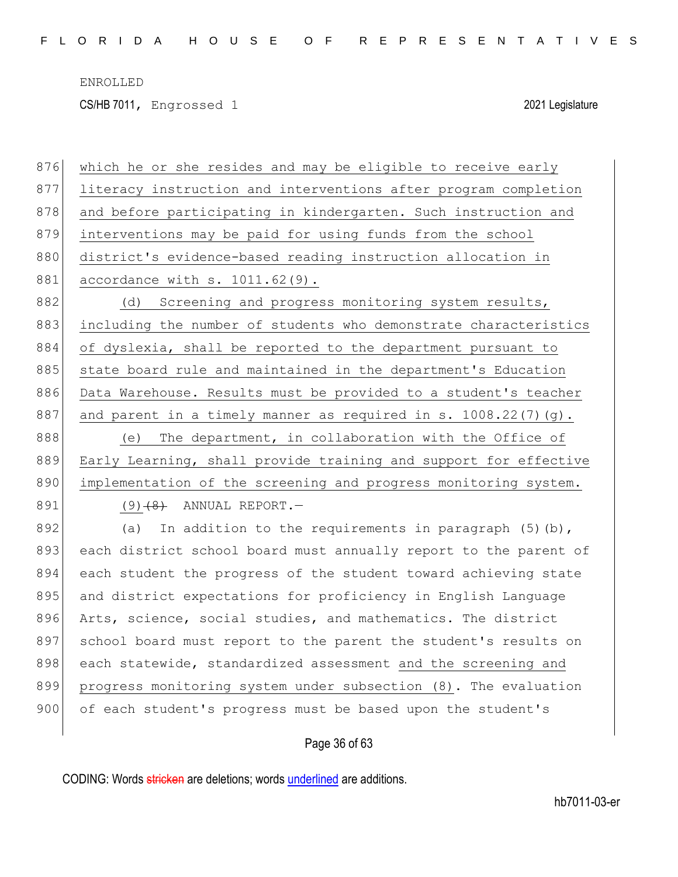CS/HB 7011, Engrossed 1 2021 Legislature

| 876 | which he or she resides and may be eligible to receive early     |
|-----|------------------------------------------------------------------|
| 877 | literacy instruction and interventions after program completion  |
| 878 | and before participating in kindergarten. Such instruction and   |
| 879 | interventions may be paid for using funds from the school        |
| 880 | district's evidence-based reading instruction allocation in      |
| 881 | accordance with s. 1011.62(9).                                   |
| 882 | Screening and progress monitoring system results,<br>(d)         |
| 883 | including the number of students who demonstrate characteristics |
| 884 | of dyslexia, shall be reported to the department pursuant to     |
| 885 | state board rule and maintained in the department's Education    |
| 886 | Data Warehouse. Results must be provided to a student's teacher  |
| 887 | and parent in a timely manner as required in s. 1008.22(7)(g).   |
| 888 | The department, in collaboration with the Office of<br>(e)       |
| 889 | Early Learning, shall provide training and support for effective |
|     |                                                                  |
| 890 | implementation of the screening and progress monitoring system.  |
| 891 | $(9)$ $(8)$ ANNUAL REPORT. $-$                                   |
| 892 | In addition to the requirements in paragraph $(5)$ (b),<br>(a)   |
| 893 | each district school board must annually report to the parent of |
| 894 | each student the progress of the student toward achieving state  |
| 895 | and district expectations for proficiency in English Language    |
| 896 | Arts, science, social studies, and mathematics. The district     |
| 897 | school board must report to the parent the student's results on  |
| 898 | each statewide, standardized assessment and the screening and    |
| 899 | progress monitoring system under subsection (8). The evaluation  |
| 900 | of each student's progress must be based upon the student's      |

## Page 36 of 63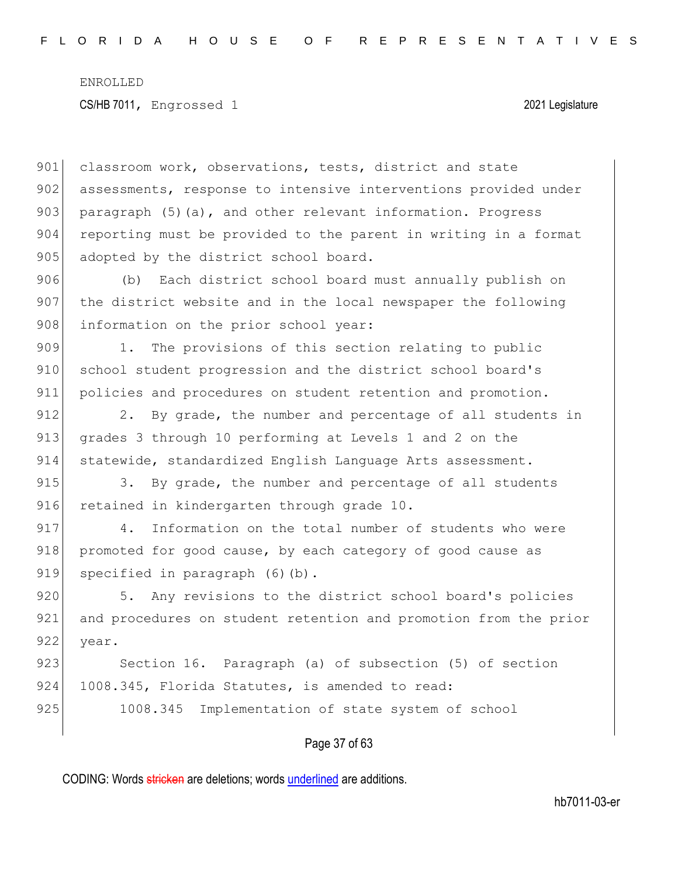901 classroom work, observations, tests, district and state 902 assessments, response to intensive interventions provided under 903 paragraph  $(5)(a)$ , and other relevant information. Progress 904 reporting must be provided to the parent in writing in a format 905 adopted by the district school board.

906 (b) Each district school board must annually publish on 907 the district website and in the local newspaper the following 908 information on the prior school year:

909 1. The provisions of this section relating to public 910 school student progression and the district school board's 911 policies and procedures on student retention and promotion.

912 2. By grade, the number and percentage of all students in 913 grades 3 through 10 performing at Levels 1 and 2 on the 914 statewide, standardized English Language Arts assessment.

915 3. By grade, the number and percentage of all students 916 retained in kindergarten through grade 10.

917 4. Information on the total number of students who were 918 promoted for good cause, by each category of good cause as 919 specified in paragraph (6)(b).

920 5. Any revisions to the district school board's policies 921 and procedures on student retention and promotion from the prior 922 year.

923 Section 16. Paragraph (a) of subsection (5) of section 924 1008.345, Florida Statutes, is amended to read: 925 1008.345 Implementation of state system of school

#### Page 37 of 63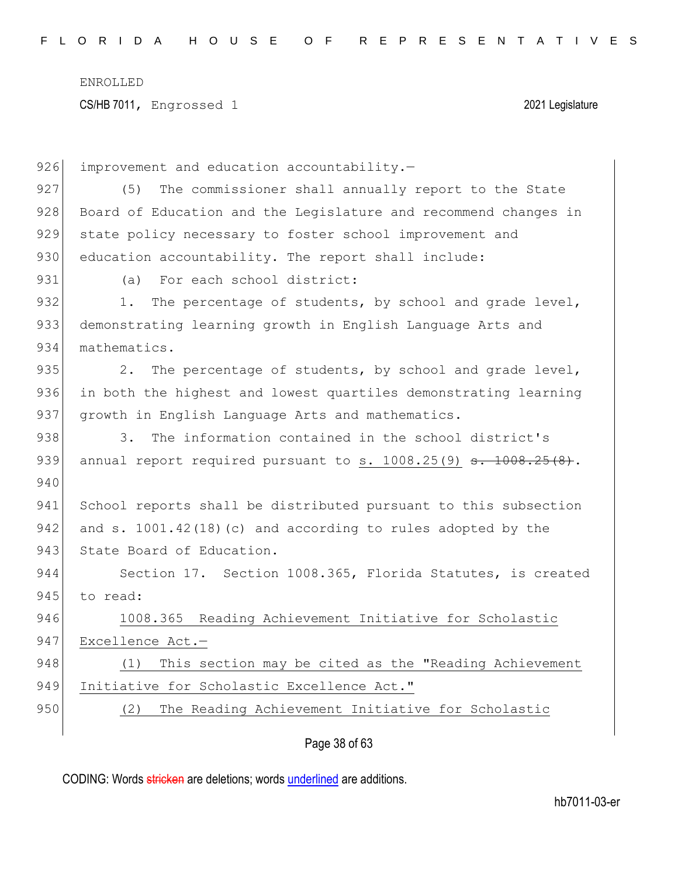CS/HB 7011, Engrossed 1 2021 Legislature

| 926 | improvement and education accountability.-                      |
|-----|-----------------------------------------------------------------|
| 927 | The commissioner shall annually report to the State<br>(5)      |
| 928 | Board of Education and the Legislature and recommend changes in |
| 929 | state policy necessary to foster school improvement and         |
| 930 | education accountability. The report shall include:             |
| 931 | For each school district:<br>(a)                                |
| 932 | The percentage of students, by school and grade level,<br>$1$ . |
| 933 | demonstrating learning growth in English Language Arts and      |
| 934 | mathematics.                                                    |
| 935 | The percentage of students, by school and grade level,<br>2.    |
| 936 | in both the highest and lowest quartiles demonstrating learning |
| 937 | growth in English Language Arts and mathematics.                |
| 938 | The information contained in the school district's<br>3.        |
| 939 | annual report required pursuant to s. 1008.25(9) s. 1008.25(8). |
| 940 |                                                                 |
| 941 | School reports shall be distributed pursuant to this subsection |
| 942 | and s. 1001.42(18)(c) and according to rules adopted by the     |
| 943 | State Board of Education.                                       |
| 944 | Section 17. Section 1008.365, Florida Statutes, is created      |
| 945 | to read:                                                        |
| 946 | 1008.365 Reading Achievement Initiative for Scholastic          |
| 947 | Excellence Act.-                                                |
| 948 | This section may be cited as the "Reading Achievement<br>(1)    |
| 949 | Initiative for Scholastic Excellence Act."                      |
| 950 | The Reading Achievement Initiative for Scholastic<br>(2)        |
|     |                                                                 |

## Page 38 of 63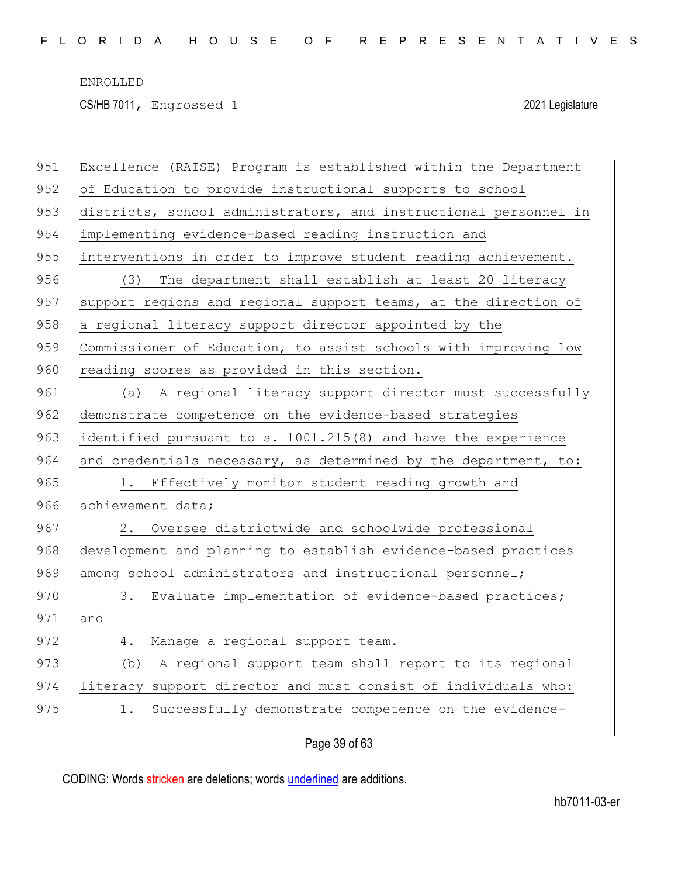CS/HB 7011, Engrossed 1 2021 Legislature

| 951 | Excellence (RAISE) Program is established within the Department  |
|-----|------------------------------------------------------------------|
| 952 | of Education to provide instructional supports to school         |
| 953 | districts, school administrators, and instructional personnel in |
| 954 | implementing evidence-based reading instruction and              |
| 955 | interventions in order to improve student reading achievement.   |
| 956 | The department shall establish at least 20 literacy<br>(3)       |
| 957 | support regions and regional support teams, at the direction of  |
| 958 | a regional literacy support director appointed by the            |
| 959 | Commissioner of Education, to assist schools with improving low  |
| 960 | reading scores as provided in this section.                      |
| 961 | A regional literacy support director must successfully<br>(a)    |
| 962 | demonstrate competence on the evidence-based strategies          |
| 963 | identified pursuant to s. 1001.215(8) and have the experience    |
| 964 | and credentials necessary, as determined by the department, to:  |
| 965 | 1. Effectively monitor student reading growth and                |
| 966 | achievement data;                                                |
| 967 | Oversee districtwide and schoolwide professional<br>2.           |
| 968 | development and planning to establish evidence-based practices   |
| 969 | among school administrators and instructional personnel;         |
| 970 | 3. Evaluate implementation of evidence-based practices;          |
| 971 | and                                                              |
| 972 | Manage a regional support team.<br>4.                            |
| 973 | (b) A regional support team shall report to its regional         |
| 974 | literacy support director and must consist of individuals who:   |
| 975 | Successfully demonstrate competence on the evidence-             |
|     |                                                                  |

## Page 39 of 63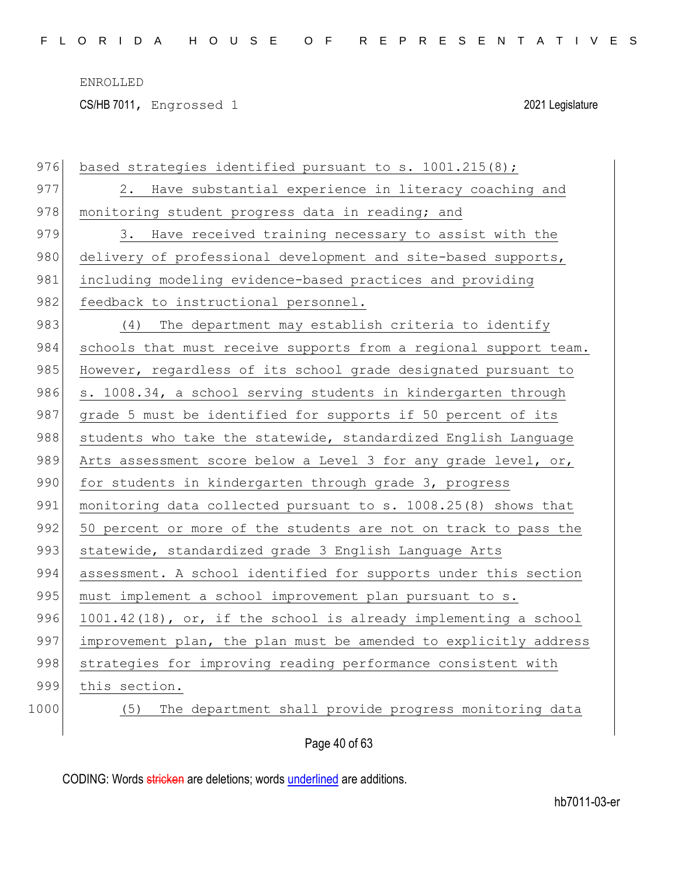CS/HB 7011, Engrossed 1 2021 Legislature

| 976  | based strategies identified pursuant to s. 1001.215(8);          |
|------|------------------------------------------------------------------|
| 977  | 2. Have substantial experience in literacy coaching and          |
| 978  | monitoring student progress data in reading; and                 |
| 979  | 3. Have received training necessary to assist with the           |
| 980  | delivery of professional development and site-based supports,    |
| 981  | including modeling evidence-based practices and providing        |
| 982  | feedback to instructional personnel.                             |
| 983  | (4) The department may establish criteria to identify            |
| 984  | schools that must receive supports from a regional support team. |
| 985  | However, regardless of its school grade designated pursuant to   |
| 986  | s. 1008.34, a school serving students in kindergarten through    |
| 987  | grade 5 must be identified for supports if 50 percent of its     |
| 988  | students who take the statewide, standardized English Language   |
| 989  | Arts assessment score below a Level 3 for any grade level, or,   |
| 990  | for students in kindergarten through grade 3, progress           |
| 991  | monitoring data collected pursuant to s. 1008.25(8) shows that   |
| 992  | 50 percent or more of the students are not on track to pass the  |
| 993  | statewide, standardized grade 3 English Language Arts            |
| 994  | assessment. A school identified for supports under this section  |
| 995  | must implement a school improvement plan pursuant to s.          |
| 996  | 1001.42(18), or, if the school is already implementing a school  |
| 997  | improvement plan, the plan must be amended to explicitly address |
| 998  | strategies for improving reading performance consistent with     |
| 999  | this section.                                                    |
| 1000 | The department shall provide progress monitoring data<br>(5)     |
|      |                                                                  |

Page 40 of 63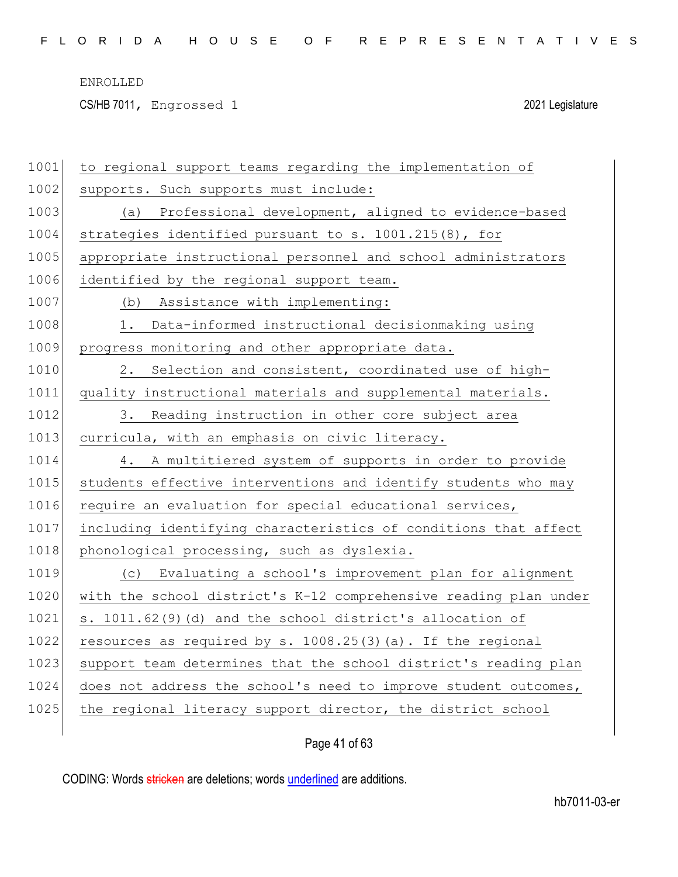CS/HB 7011, Engrossed 1 2021 Legislature

| 1001 | to regional support teams regarding the implementation of        |
|------|------------------------------------------------------------------|
| 1002 | supports. Such supports must include:                            |
| 1003 | (a) Professional development, aligned to evidence-based          |
| 1004 | strategies identified pursuant to s. 1001.215(8), for            |
| 1005 | appropriate instructional personnel and school administrators    |
| 1006 | identified by the regional support team.                         |
| 1007 | Assistance with implementing:<br>(b)                             |
| 1008 | Data-informed instructional decisionmaking using<br>1.           |
| 1009 | progress monitoring and other appropriate data.                  |
| 1010 | Selection and consistent, coordinated use of high-<br>2.         |
| 1011 | quality instructional materials and supplemental materials.      |
| 1012 | 3. Reading instruction in other core subject area                |
| 1013 | curricula, with an emphasis on civic literacy.                   |
| 1014 | A multitiered system of supports in order to provide<br>4.       |
| 1015 | students effective interventions and identify students who may   |
| 1016 | require an evaluation for special educational services,          |
| 1017 | including identifying characteristics of conditions that affect  |
| 1018 | phonological processing, such as dyslexia.                       |
| 1019 | (c) Evaluating a school's improvement plan for alignment         |
| 1020 | with the school district's K-12 comprehensive reading plan under |
| 1021 | s. 1011.62(9)(d) and the school district's allocation of         |
| 1022 | resources as required by s. $1008.25(3)(a)$ . If the regional    |
| 1023 | support team determines that the school district's reading plan  |
| 1024 | does not address the school's need to improve student outcomes,  |
| 1025 | the regional literacy support director, the district school      |
|      |                                                                  |

Page 41 of 63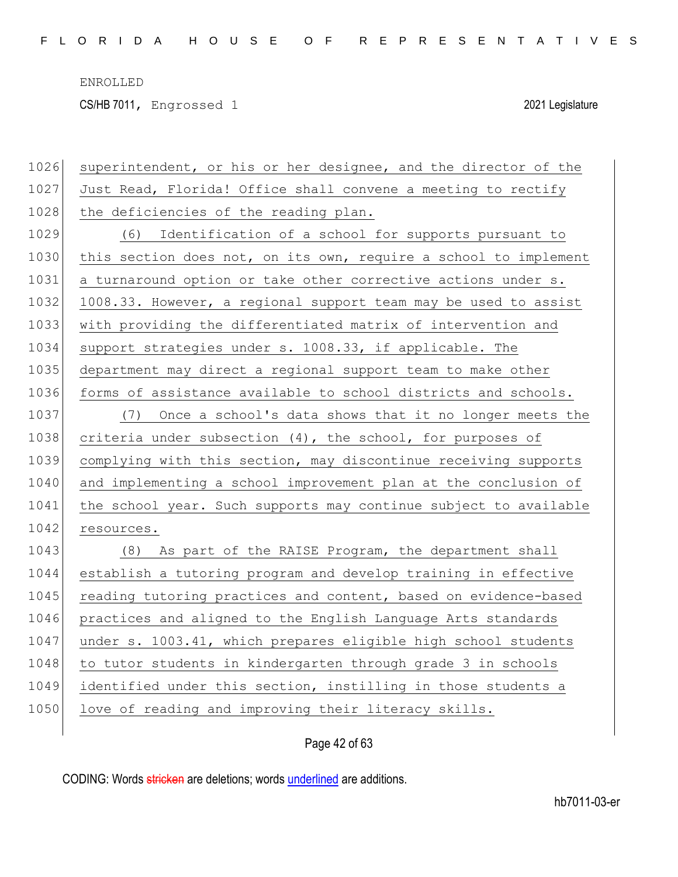CS/HB 7011, Engrossed 1 2021 Legislature

| 1026 | superintendent, or his or her designee, and the director of the  |
|------|------------------------------------------------------------------|
| 1027 | Just Read, Florida! Office shall convene a meeting to rectify    |
| 1028 | the deficiencies of the reading plan.                            |
| 1029 | (6) Identification of a school for supports pursuant to          |
| 1030 | this section does not, on its own, require a school to implement |
| 1031 | a turnaround option or take other corrective actions under s.    |
| 1032 | 1008.33. However, a regional support team may be used to assist  |
| 1033 | with providing the differentiated matrix of intervention and     |
| 1034 | support strategies under s. 1008.33, if applicable. The          |
| 1035 | department may direct a regional support team to make other      |
| 1036 | forms of assistance available to school districts and schools.   |
| 1037 | (7) Once a school's data shows that it no longer meets the       |
| 1038 | criteria under subsection $(4)$ , the school, for purposes of    |
| 1039 | complying with this section, may discontinue receiving supports  |
| 1040 | and implementing a school improvement plan at the conclusion of  |
| 1041 | the school year. Such supports may continue subject to available |
| 1042 | resources.                                                       |
| 1043 | (8) As part of the RAISE Program, the department shall           |
| 1044 | establish a tutoring program and develop training in effective   |
| 1045 | reading tutoring practices and content, based on evidence-based  |
| 1046 | practices and aligned to the English Language Arts standards     |
| 1047 | under s. 1003.41, which prepares eligible high school students   |
| 1048 | to tutor students in kindergarten through grade 3 in schools     |
| 1049 | identified under this section, instilling in those students a    |
| 1050 | love of reading and improving their literacy skills.             |
|      |                                                                  |

Page 42 of 63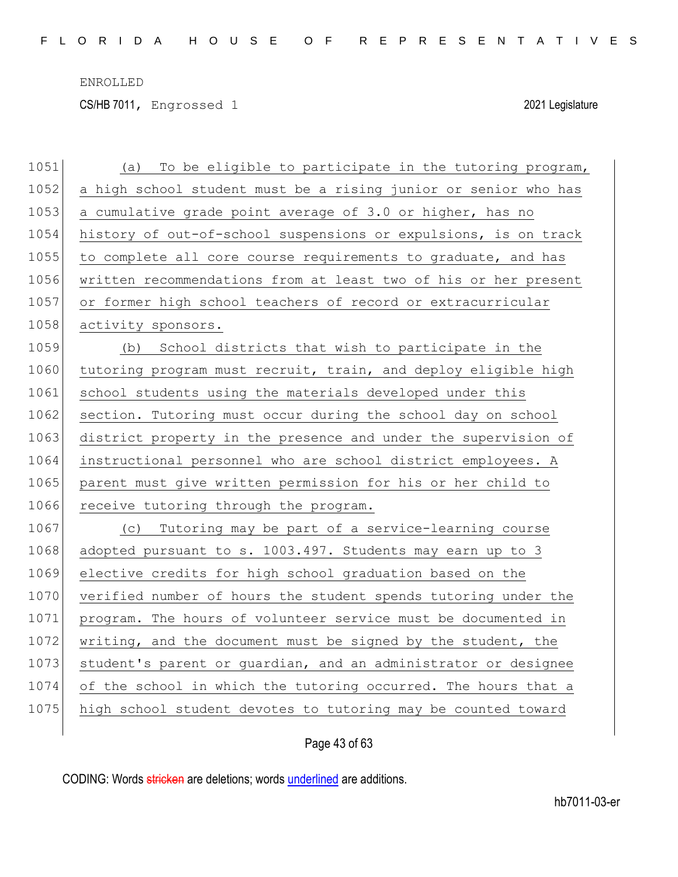CS/HB 7011, Engrossed 1 2021 Legislature

| 1051 | To be eligible to participate in the tutoring program,<br>(a)   |
|------|-----------------------------------------------------------------|
| 1052 | a high school student must be a rising junior or senior who has |
| 1053 | a cumulative grade point average of 3.0 or higher, has no       |
| 1054 | history of out-of-school suspensions or expulsions, is on track |
| 1055 | to complete all core course requirements to graduate, and has   |
| 1056 | written recommendations from at least two of his or her present |
| 1057 | or former high school teachers of record or extracurricular     |
| 1058 | activity sponsors.                                              |
| 1059 | School districts that wish to participate in the<br>(b)         |
| 1060 | tutoring program must recruit, train, and deploy eligible high  |
| 1061 | school students using the materials developed under this        |
| 1062 | section. Tutoring must occur during the school day on school    |
| 1063 | district property in the presence and under the supervision of  |
| 1064 | instructional personnel who are school district employees. A    |
| 1065 | parent must give written permission for his or her child to     |
| 1066 | receive tutoring through the program.                           |
| 1067 | Tutoring may be part of a service-learning course<br>(C)        |
| 1068 | adopted pursuant to s. 1003.497. Students may earn up to 3      |
| 1069 | elective credits for high school graduation based on the        |
| 1070 | verified number of hours the student spends tutoring under the  |
| 1071 | program. The hours of volunteer service must be documented in   |
| 1072 | writing, and the document must be signed by the student, the    |
| 1073 | student's parent or quardian, and an administrator or designee  |
| 1074 | of the school in which the tutoring occurred. The hours that a  |
| 1075 | high school student devotes to tutoring may be counted toward   |
|      |                                                                 |

## Page 43 of 63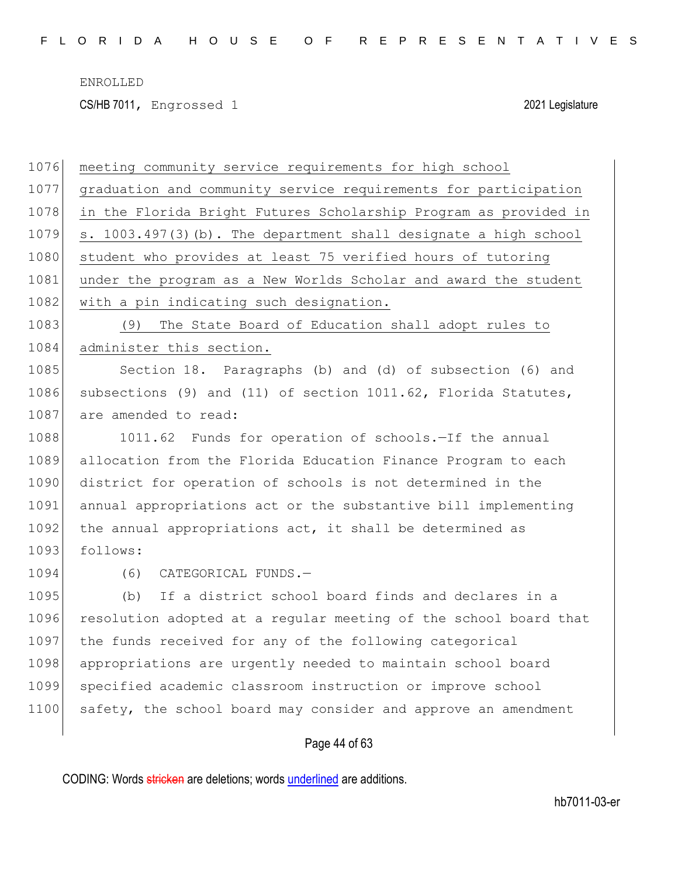CS/HB 7011, Engrossed 1 2021 Legislature

| 1076 | meeting community service requirements for high school           |
|------|------------------------------------------------------------------|
| 1077 | graduation and community service requirements for participation  |
| 1078 | in the Florida Bright Futures Scholarship Program as provided in |
| 1079 | s. 1003.497(3) (b). The department shall designate a high school |
| 1080 | student who provides at least 75 verified hours of tutoring      |
| 1081 | under the program as a New Worlds Scholar and award the student  |
| 1082 | with a pin indicating such designation.                          |
| 1083 | The State Board of Education shall adopt rules to<br>(9)         |
| 1084 | administer this section.                                         |
| 1085 | Section 18. Paragraphs (b) and (d) of subsection (6) and         |
| 1086 | subsections (9) and (11) of section 1011.62, Florida Statutes,   |
| 1087 | are amended to read:                                             |
| 1088 | 1011.62 Funds for operation of schools.-If the annual            |
| 1089 | allocation from the Florida Education Finance Program to each    |
| 1090 | district for operation of schools is not determined in the       |
| 1091 | annual appropriations act or the substantive bill implementing   |
| 1092 | the annual appropriations act, it shall be determined as         |
| 1093 | follows:                                                         |
| 1094 | (6)<br>CATEGORICAL FUNDS.-                                       |
| 1095 | If a district school board finds and declares in a<br>(b)        |
| 1096 | resolution adopted at a regular meeting of the school board that |
| 1097 | the funds received for any of the following categorical          |
| 1098 | appropriations are urgently needed to maintain school board      |
| 1099 | specified academic classroom instruction or improve school       |
| 1100 | safety, the school board may consider and approve an amendment   |
|      |                                                                  |

Page 44 of 63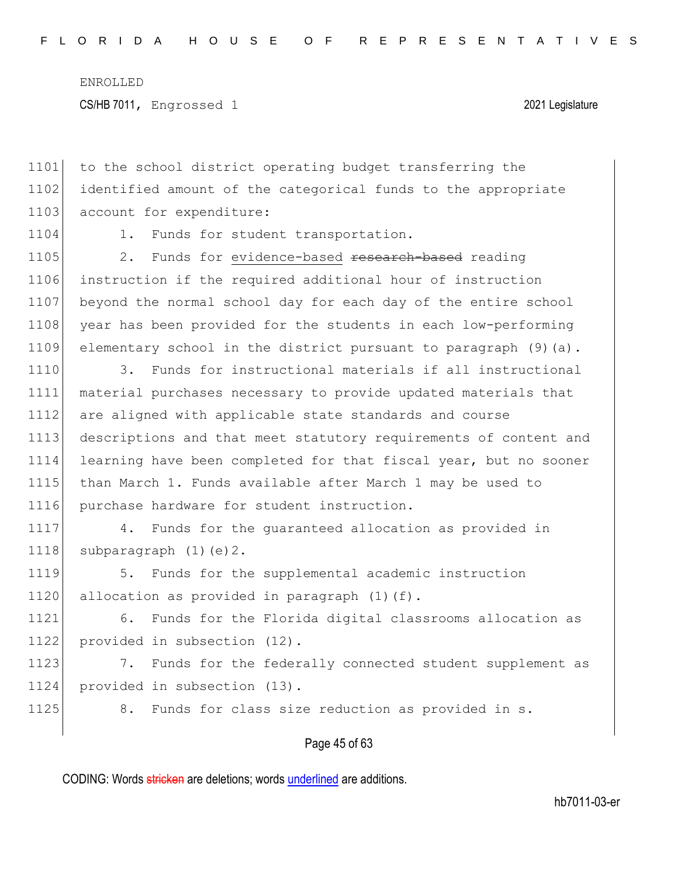1101 to the school district operating budget transferring the 1102 identified amount of the categorical funds to the appropriate 1103 account for expenditure: 1104 1. Funds for student transportation. 1105 2. Funds for evidence-based research-based reading 1106 instruction if the required additional hour of instruction 1107 beyond the normal school day for each day of the entire school 1108 year has been provided for the students in each low-performing 1109 elementary school in the district pursuant to paragraph (9)(a). 1110 3. Funds for instructional materials if all instructional 1111 material purchases necessary to provide updated materials that 1112 are aligned with applicable state standards and course 1113 descriptions and that meet statutory requirements of content and 1114 learning have been completed for that fiscal year, but no sooner 1115 than March 1. Funds available after March 1 may be used to 1116 purchase hardware for student instruction.

1117 4. Funds for the guaranteed allocation as provided in 1118 subparagraph  $(1)(e)$  2.

1119 5. Funds for the supplemental academic instruction 1120 allocation as provided in paragraph  $(1)(f)$ .

1121 6. Funds for the Florida digital classrooms allocation as 1122 provided in subsection (12).

1123 7. Funds for the federally connected student supplement as 1124 provided in subsection (13).

1125 8. Funds for class size reduction as provided in s.

#### Page 45 of 63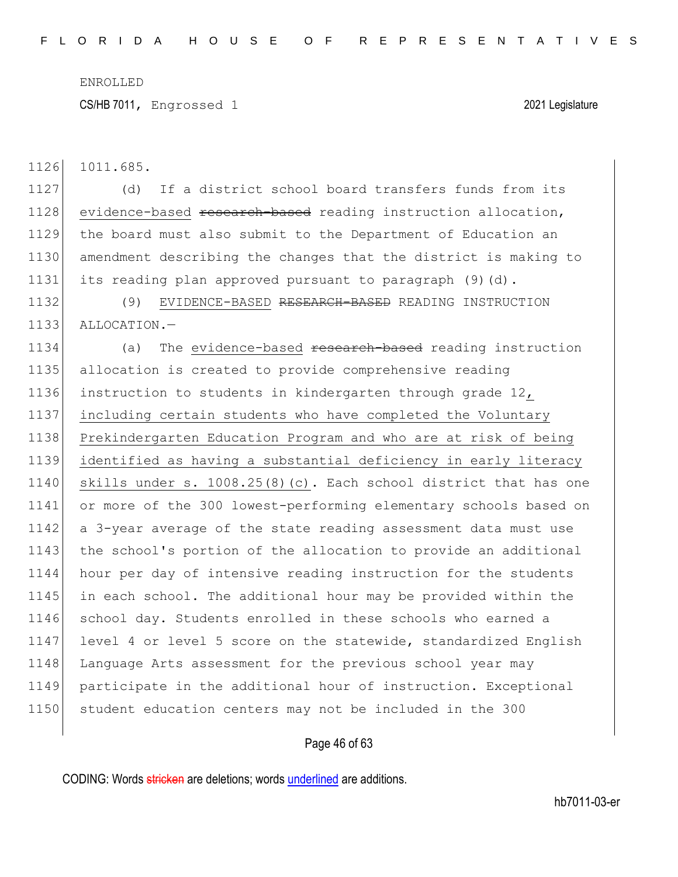CS/HB 7011, Engrossed 1 2021 Legislature

1126 1011.685.

 (d) If a district school board transfers funds from its 1128 evidence-based research-based reading instruction allocation, the board must also submit to the Department of Education an amendment describing the changes that the district is making to its reading plan approved pursuant to paragraph (9)(d).

1132 (9) EVIDENCE-BASED RESEARCH-BASED READING INSTRUCTION 1133 ALLOCATION.-

1134 (a) The evidence-based research-based reading instruction 1135 allocation is created to provide comprehensive reading 1136 instruction to students in kindergarten through grade 12, 1137 including certain students who have completed the Voluntary 1138 Prekindergarten Education Program and who are at risk of being 1139 identified as having a substantial deficiency in early literacy 1140 skills under s. 1008.25(8)(c). Each school district that has one 1141 or more of the 300 lowest-performing elementary schools based on 1142 a 3-year average of the state reading assessment data must use 1143 the school's portion of the allocation to provide an additional 1144 hour per day of intensive reading instruction for the students 1145 in each school. The additional hour may be provided within the 1146 school day. Students enrolled in these schools who earned a 1147 level 4 or level 5 score on the statewide, standardized English 1148 Language Arts assessment for the previous school year may 1149 participate in the additional hour of instruction. Exceptional 1150 student education centers may not be included in the 300

#### Page 46 of 63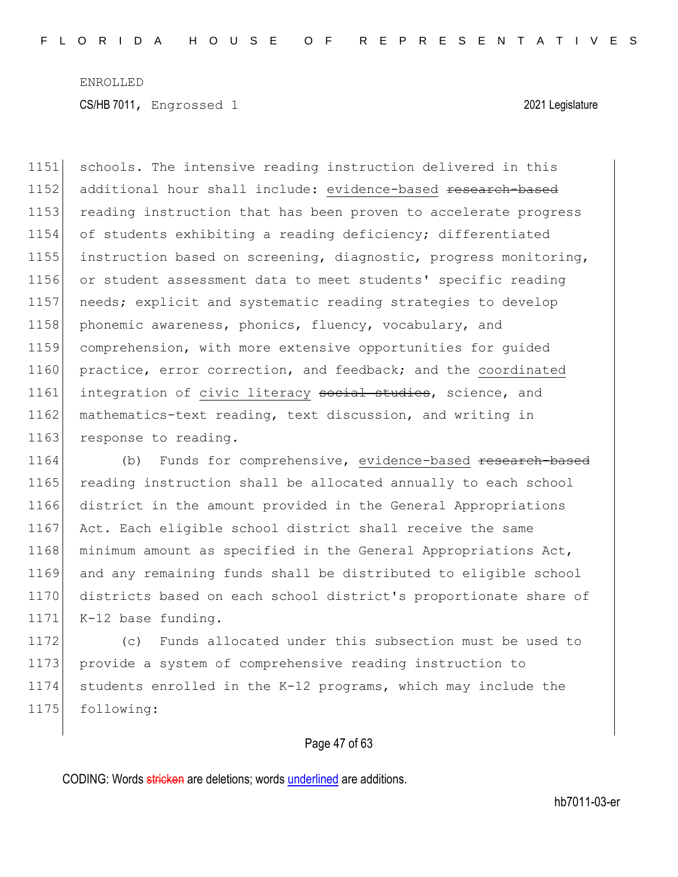1151 schools. The intensive reading instruction delivered in this 1152 additional hour shall include: evidence-based research-based 1153 reading instruction that has been proven to accelerate progress 1154 of students exhibiting a reading deficiency; differentiated 1155 instruction based on screening, diagnostic, progress monitoring, 1156 or student assessment data to meet students' specific reading 1157 needs; explicit and systematic reading strategies to develop 1158 phonemic awareness, phonics, fluency, vocabulary, and 1159 comprehension, with more extensive opportunities for guided 1160 practice, error correction, and feedback; and the coordinated 1161 integration of civic literacy social studies, science, and 1162 mathematics-text reading, text discussion, and writing in 1163 response to reading.

1164 (b) Funds for comprehensive, evidence-based <del>research-based</del> 1165 reading instruction shall be allocated annually to each school 1166 district in the amount provided in the General Appropriations 1167 Act. Each eligible school district shall receive the same 1168 minimum amount as specified in the General Appropriations Act, 1169 and any remaining funds shall be distributed to eligible school 1170 districts based on each school district's proportionate share of 1171 K-12 base funding.

 (c) Funds allocated under this subsection must be used to provide a system of comprehensive reading instruction to students enrolled in the K-12 programs, which may include the 1175 following:

#### Page 47 of 63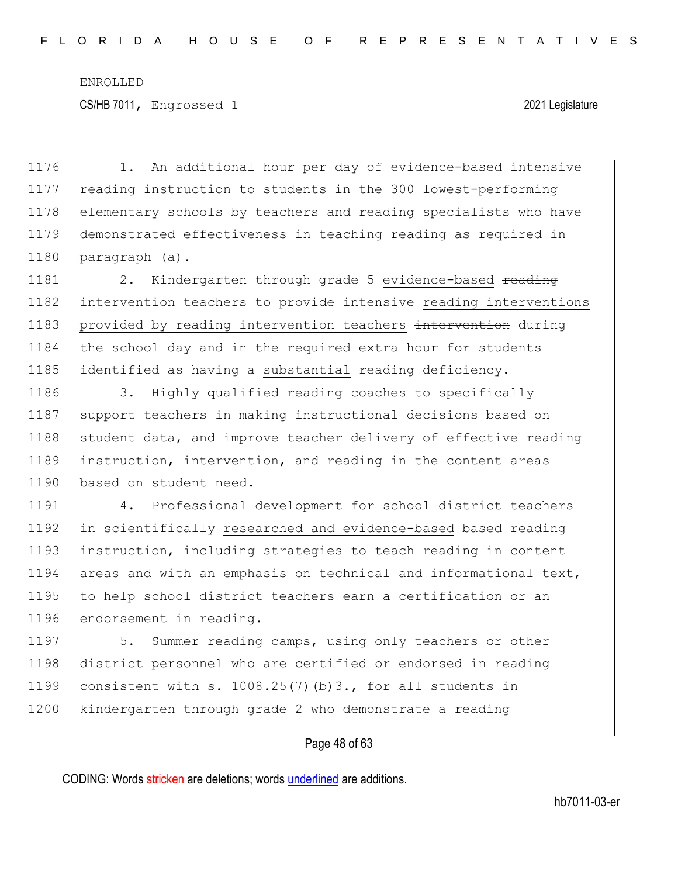1176 1. An additional hour per day of evidence-based intensive 1177 reading instruction to students in the 300 lowest-performing 1178 elementary schools by teachers and reading specialists who have 1179 demonstrated effectiveness in teaching reading as required in 1180 paragraph (a).

1181 2. Kindergarten through grade 5 evidence-based reading 1182 intervention teachers to provide intensive reading interventions 1183 provided by reading intervention teachers intervention during 1184 the school day and in the required extra hour for students 1185 identified as having a substantial reading deficiency.

1186 3. Highly qualified reading coaches to specifically 1187 support teachers in making instructional decisions based on 1188 student data, and improve teacher delivery of effective reading 1189 instruction, intervention, and reading in the content areas 1190 based on student need.

1191 4. Professional development for school district teachers 1192 in scientifically researched and evidence-based based reading 1193 instruction, including strategies to teach reading in content 1194 areas and with an emphasis on technical and informational text, 1195 to help school district teachers earn a certification or an 1196 endorsement in reading.

1197 5. Summer reading camps, using only teachers or other 1198 district personnel who are certified or endorsed in reading 1199 consistent with s. 1008.25(7)(b)3., for all students in 1200 kindergarten through grade 2 who demonstrate a reading

#### Page 48 of 63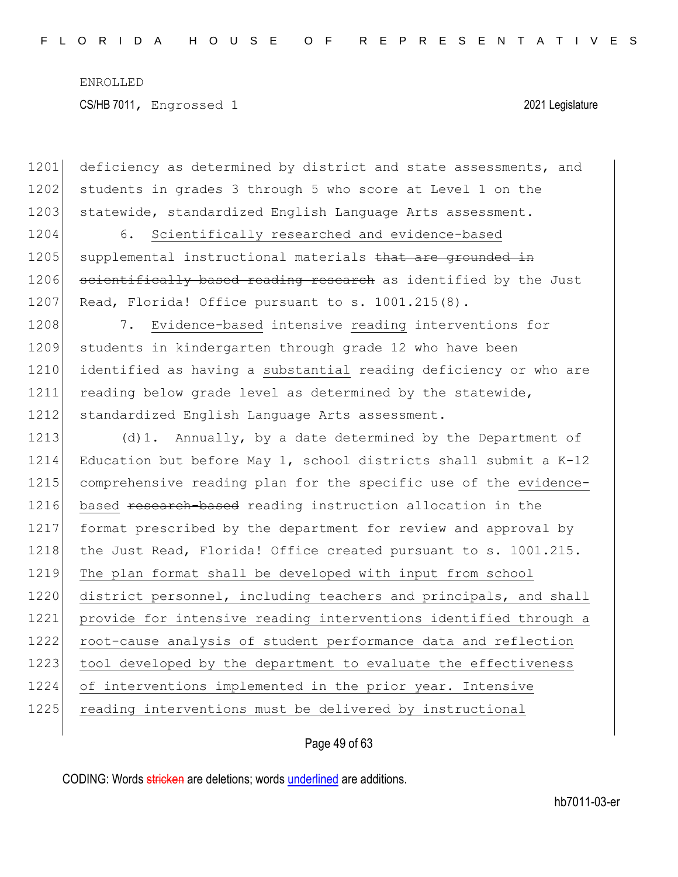1201 deficiency as determined by district and state assessments, and 1202 students in grades 3 through 5 who score at Level 1 on the 1203 statewide, standardized English Language Arts assessment. 1204 6. Scientifically researched and evidence-based 1205 supplemental instructional materials that are grounded in 1206 scientifically based reading research as identified by the Just 1207 Read, Florida! Office pursuant to s. 1001.215(8). 1208 7. Evidence-based intensive reading interventions for 1209 students in kindergarten through grade 12 who have been 1210 identified as having a substantial reading deficiency or who are 1211 reading below grade level as determined by the statewide, 1212 standardized English Language Arts assessment. 1213 (d)1. Annually, by a date determined by the Department of 1214 Education but before May 1, school districts shall submit a K-12 1215 comprehensive reading plan for the specific use of the evidence-1216 based research-based reading instruction allocation in the 1217 format prescribed by the department for review and approval by 1218 the Just Read, Florida! Office created pursuant to s. 1001.215. 1219 The plan format shall be developed with input from school 1220 district personnel, including teachers and principals, and shall 1221 provide for intensive reading interventions identified through a 1222 root-cause analysis of student performance data and reflection 1223 tool developed by the department to evaluate the effectiveness 1224 of interventions implemented in the prior year. Intensive 1225 reading interventions must be delivered by instructional

Page 49 of 63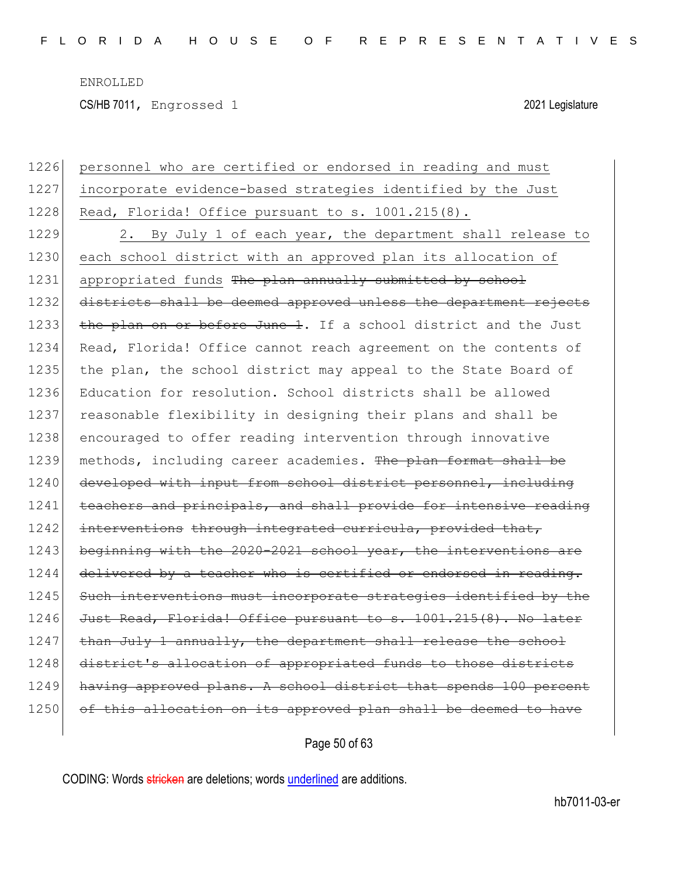CS/HB 7011, Engrossed 1 2021 Legislature

| 1226 | personnel who are certified or endorsed in reading and must      |
|------|------------------------------------------------------------------|
| 1227 | incorporate evidence-based strategies identified by the Just     |
| 1228 | Read, Florida! Office pursuant to s. 1001.215(8).                |
| 1229 | 2. By July 1 of each year, the department shall release to       |
| 1230 | each school district with an approved plan its allocation of     |
| 1231 | appropriated funds The plan annually submitted by school         |
| 1232 | districts shall be deemed approved unless the department rejects |
| 1233 | the plan on or before June 1. If a school district and the Just  |
| 1234 | Read, Florida! Office cannot reach agreement on the contents of  |
| 1235 | the plan, the school district may appeal to the State Board of   |
| 1236 | Education for resolution. School districts shall be allowed      |
| 1237 | reasonable flexibility in designing their plans and shall be     |
| 1238 | encouraged to offer reading intervention through innovative      |
| 1239 | methods, including career academies. The plan format shall be    |
| 1240 | developed with input from school district personnel, including   |
| 1241 | teachers and principals, and shall provide for intensive reading |
| 1242 | interventions through integrated curricula, provided that,       |
| 1243 | beginning with the 2020-2021 school year, the interventions are  |
| 1244 | delivered by a teacher who is certified or endorsed in reading.  |
| 1245 | Such interventions must incorporate strategies identified by the |
| 1246 | Just Read, Florida! Office pursuant to s. 1001.215(8). No later  |
| 1247 | than July 1 annually, the department shall release the school    |
| 1248 | district's allocation of appropriated funds to those districts   |
| 1249 | having approved plans. A school district that spends 100 percent |
| 1250 | of this allocation on its approved plan shall be deemed to have  |
|      |                                                                  |

Page 50 of 63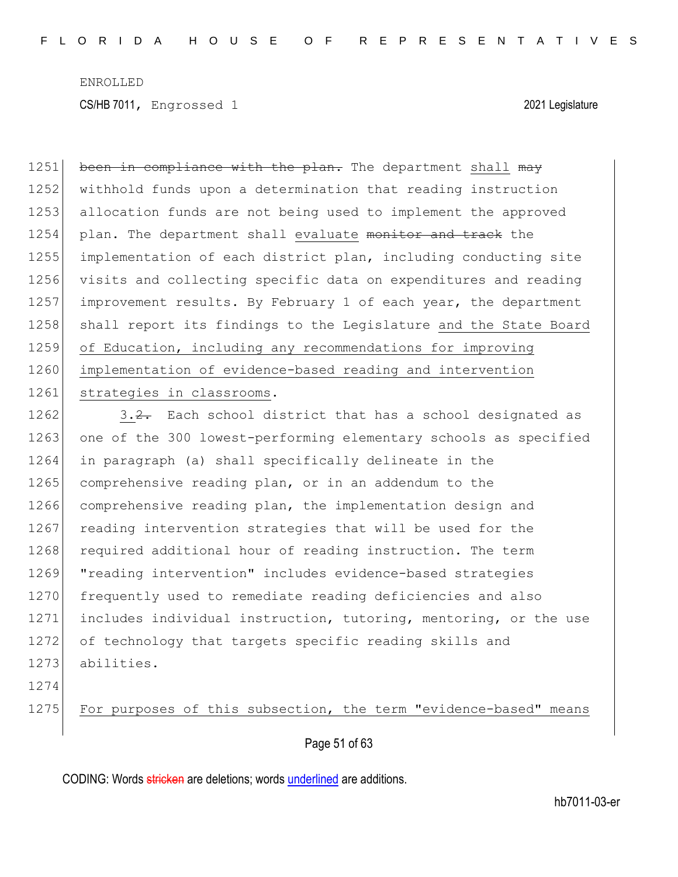1251 been in compliance with the plan. The department shall may 1252 withhold funds upon a determination that reading instruction 1253 allocation funds are not being used to implement the approved 1254 plan. The department shall evaluate monitor and track the 1255 implementation of each district plan, including conducting site 1256 visits and collecting specific data on expenditures and reading 1257 improvement results. By February 1 of each year, the department 1258 shall report its findings to the Legislature and the State Board 1259 of Education, including any recommendations for improving 1260 implementation of evidence-based reading and intervention 1261 strategies in classrooms.

1262  $\vert$  3.2. Each school district that has a school designated as 1263 one of the 300 lowest-performing elementary schools as specified 1264 in paragraph (a) shall specifically delineate in the 1265 comprehensive reading plan, or in an addendum to the 1266 comprehensive reading plan, the implementation design and 1267 reading intervention strategies that will be used for the 1268 required additional hour of reading instruction. The term 1269 "reading intervention" includes evidence-based strategies 1270 frequently used to remediate reading deficiencies and also 1271 includes individual instruction, tutoring, mentoring, or the use 1272 of technology that targets specific reading skills and 1273 abilities.

1274

1275 For purposes of this subsection, the term "evidence-based" means

Page 51 of 63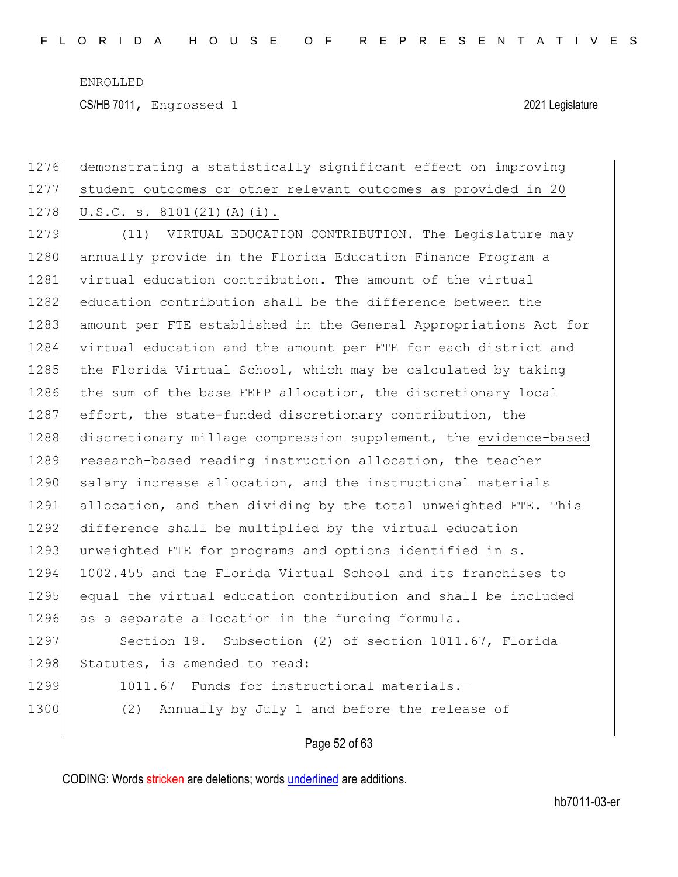CS/HB 7011, Engrossed 1 2021 Legislature

# 1276 demonstrating a statistically significant effect on improving 1277 student outcomes or other relevant outcomes as provided in 20 1278  $|U.S.C. s. 8101(21)(A)(i)|.$ 1279 (11) VIRTUAL EDUCATION CONTRIBUTION. The Legislature may 1280 annually provide in the Florida Education Finance Program a 1281 virtual education contribution. The amount of the virtual 1282 education contribution shall be the difference between the 1283 amount per FTE established in the General Appropriations Act for 1284 virtual education and the amount per FTE for each district and 1285 the Florida Virtual School, which may be calculated by taking 1286 the sum of the base FEFP allocation, the discretionary local 1287 effort, the state-funded discretionary contribution, the 1288 discretionary millage compression supplement, the evidence-based 1289 research-based reading instruction allocation, the teacher 1290 salary increase allocation, and the instructional materials 1291 allocation, and then dividing by the total unweighted FTE. This 1292 difference shall be multiplied by the virtual education 1293 unweighted FTE for programs and options identified in s. 1294 1002.455 and the Florida Virtual School and its franchises to 1295 equal the virtual education contribution and shall be included 1296 as a separate allocation in the funding formula. 1297 Section 19. Subsection (2) of section 1011.67, Florida 1298 Statutes, is amended to read: 1299 1011.67 Funds for instructional materials.-1300 (2) Annually by July 1 and before the release of

Page 52 of 63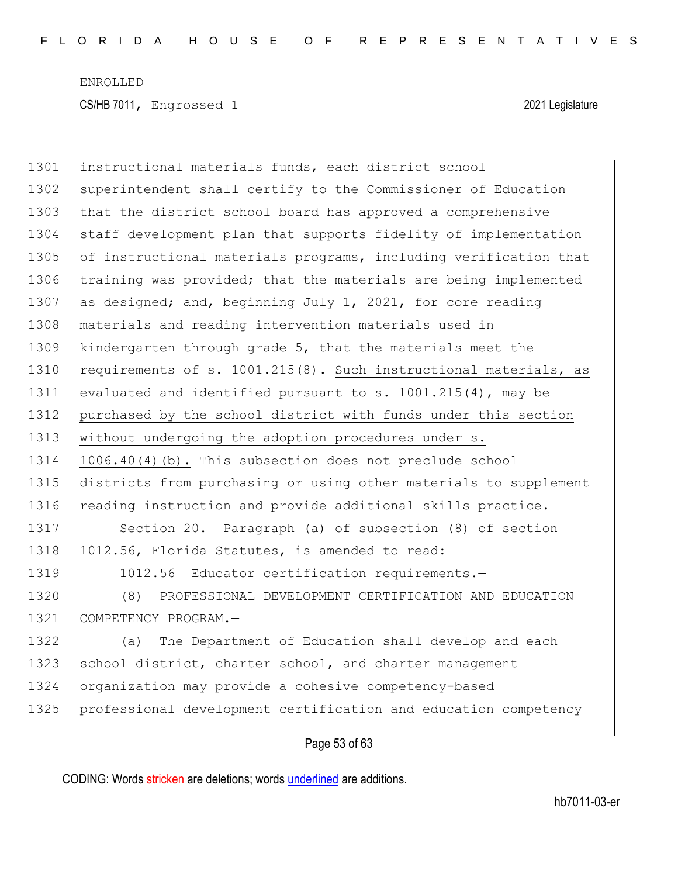| 1301 | instructional materials funds, each district school              |
|------|------------------------------------------------------------------|
| 1302 | superintendent shall certify to the Commissioner of Education    |
| 1303 | that the district school board has approved a comprehensive      |
| 1304 | staff development plan that supports fidelity of implementation  |
| 1305 | of instructional materials programs, including verification that |
| 1306 | training was provided; that the materials are being implemented  |
| 1307 | as designed; and, beginning July 1, 2021, for core reading       |
| 1308 | materials and reading intervention materials used in             |
| 1309 | kindergarten through grade 5, that the materials meet the        |
| 1310 | requirements of s. 1001.215(8). Such instructional materials, as |
| 1311 | evaluated and identified pursuant to s. 1001.215(4), may be      |
| 1312 | purchased by the school district with funds under this section   |
| 1313 | without undergoing the adoption procedures under s.              |
| 1314 | 1006.40(4)(b). This subsection does not preclude school          |
| 1315 | districts from purchasing or using other materials to supplement |
| 1316 | reading instruction and provide additional skills practice.      |
| 1317 | Section 20. Paragraph (a) of subsection (8) of section           |
| 1318 | 1012.56, Florida Statutes, is amended to read:                   |
| 1319 | 1012.56 Educator certification requirements.-                    |
| 1320 | (8)<br>PROFESSIONAL DEVELOPMENT CERTIFICATION AND EDUCATION      |
| 1321 | COMPETENCY PROGRAM.-                                             |
| 1322 | The Department of Education shall develop and each<br>(a)        |
| 1323 | school district, charter school, and charter management          |
| 1324 | organization may provide a cohesive competency-based             |
| 1325 | professional development certification and education competency  |
|      |                                                                  |

Page 53 of 63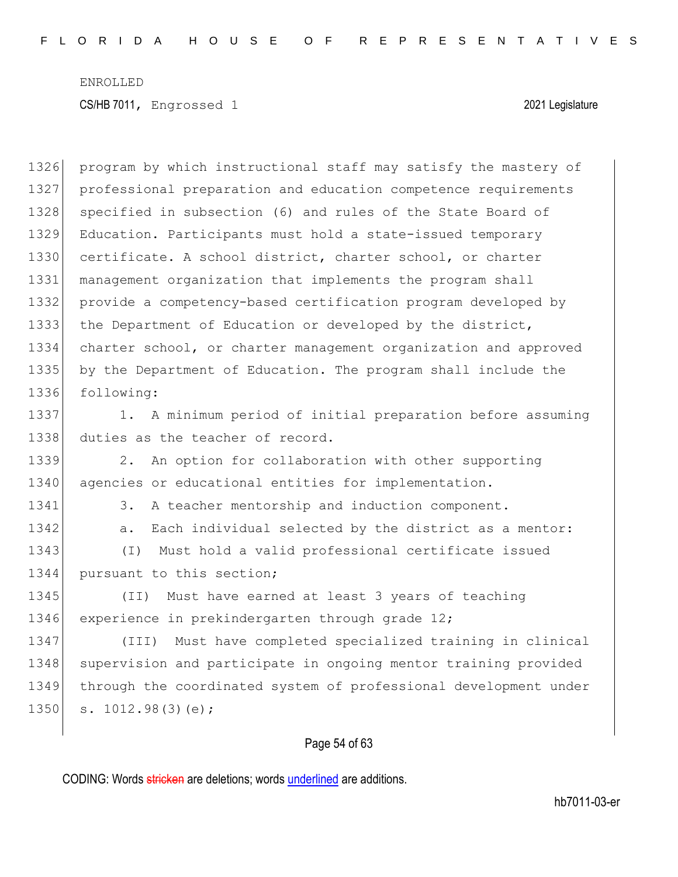1326 program by which instructional staff may satisfy the mastery of 1327 professional preparation and education competence requirements 1328 specified in subsection (6) and rules of the State Board of 1329 Education. Participants must hold a state-issued temporary 1330 certificate. A school district, charter school, or charter 1331 management organization that implements the program shall 1332 provide a competency-based certification program developed by 1333 the Department of Education or developed by the district, 1334 charter school, or charter management organization and approved 1335 by the Department of Education. The program shall include the 1336 following: 1337 1. A minimum period of initial preparation before assuming 1338 duties as the teacher of record. 1339 2. An option for collaboration with other supporting 1340 agencies or educational entities for implementation. 1341 3. A teacher mentorship and induction component. 1342 a. Each individual selected by the district as a mentor: 1343 (I) Must hold a valid professional certificate issued 1344 pursuant to this section; 1345 (II) Must have earned at least 3 years of teaching 1346 experience in prekindergarten through grade 12; 1347 (III) Must have completed specialized training in clinical 1348 supervision and participate in ongoing mentor training provided 1349 through the coordinated system of professional development under  $1350$  s.  $1012.98(3)(e)$ ;

### Page 54 of 63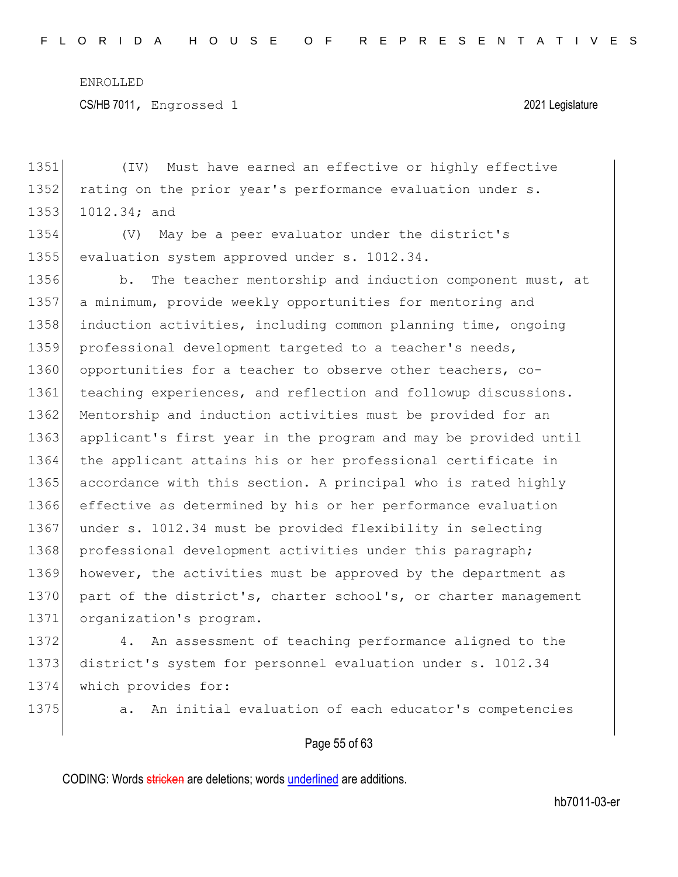CS/HB 7011, Engrossed 1 2021 Legislature

1351 (IV) Must have earned an effective or highly effective 1352 rating on the prior year's performance evaluation under s. 1353 1012.34; and

1354 (V) May be a peer evaluator under the district's 1355 evaluation system approved under s. 1012.34.

1356 b. The teacher mentorship and induction component must, at 1357 a minimum, provide weekly opportunities for mentoring and 1358 induction activities, including common planning time, ongoing 1359 professional development targeted to a teacher's needs, 1360 opportunities for a teacher to observe other teachers, co-1361 teaching experiences, and reflection and followup discussions. 1362 Mentorship and induction activities must be provided for an 1363 applicant's first year in the program and may be provided until 1364 the applicant attains his or her professional certificate in 1365 accordance with this section. A principal who is rated highly 1366 effective as determined by his or her performance evaluation 1367 under s. 1012.34 must be provided flexibility in selecting 1368 professional development activities under this paragraph; 1369 however, the activities must be approved by the department as 1370 part of the district's, charter school's, or charter management 1371 organization's program.

1372 4. An assessment of teaching performance aligned to the 1373 district's system for personnel evaluation under s. 1012.34 1374 which provides for:

1375 **a.** An initial evaluation of each educator's competencies

#### Page 55 of 63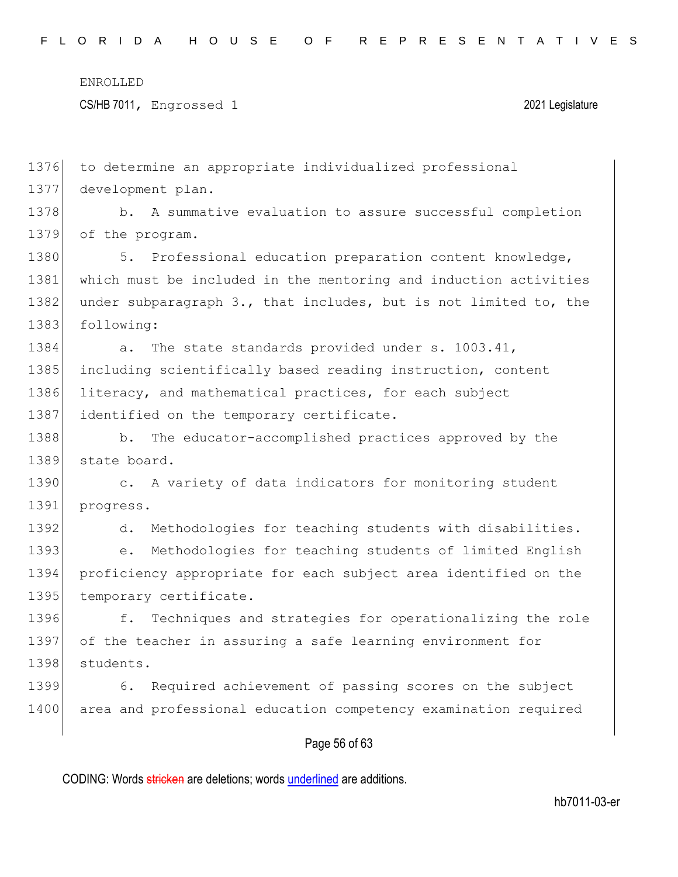CS/HB 7011, Engrossed 1 2021 Legislature

1376 to determine an appropriate individualized professional 1377 development plan. 1378 b. A summative evaluation to assure successful completion 1379 of the program. 1380 5. Professional education preparation content knowledge, 1381 which must be included in the mentoring and induction activities 1382 under subparagraph 3., that includes, but is not limited to, the 1383 following: 1384 a. The state standards provided under s. 1003.41, 1385 including scientifically based reading instruction, content 1386 literacy, and mathematical practices, for each subject 1387 identified on the temporary certificate. 1388 b. The educator-accomplished practices approved by the 1389 state board. 1390 c. A variety of data indicators for monitoring student 1391 progress. 1392 d. Methodologies for teaching students with disabilities. 1393 e. Methodologies for teaching students of limited English 1394 proficiency appropriate for each subject area identified on the 1395 temporary certificate. 1396 f. Techniques and strategies for operationalizing the role 1397 of the teacher in assuring a safe learning environment for 1398 students. 1399 6. Required achievement of passing scores on the subject 1400 area and professional education competency examination required

### Page 56 of 63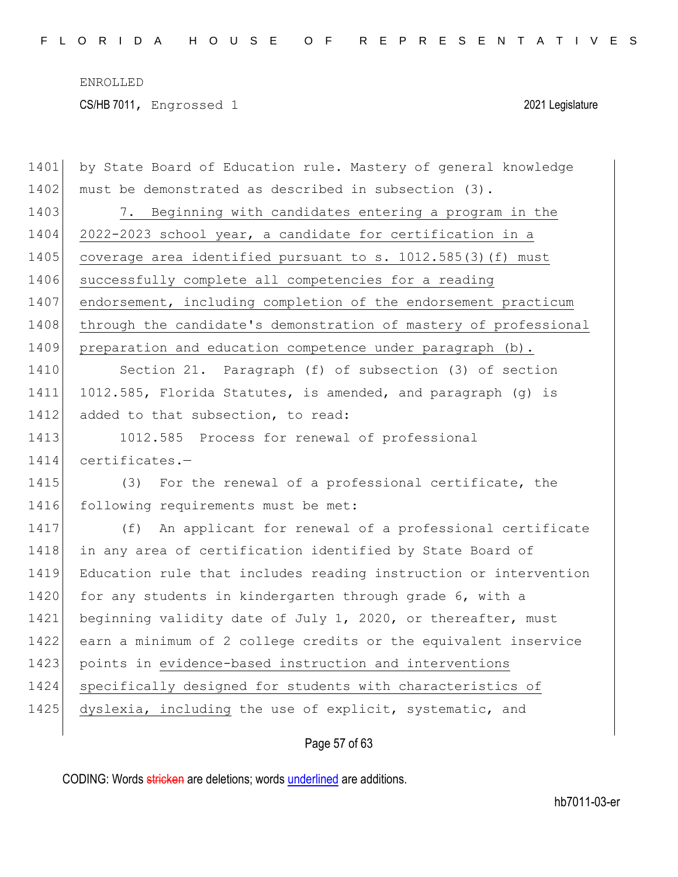| 1401 | by State Board of Education rule. Mastery of general knowledge   |
|------|------------------------------------------------------------------|
| 1402 | must be demonstrated as described in subsection (3).             |
| 1403 | 7. Beginning with candidates entering a program in the           |
| 1404 | 2022-2023 school year, a candidate for certification in a        |
| 1405 | coverage area identified pursuant to s. 1012.585(3) (f) must     |
| 1406 | successfully complete all competencies for a reading             |
| 1407 | endorsement, including completion of the endorsement practicum   |
| 1408 | through the candidate's demonstration of mastery of professional |
| 1409 | preparation and education competence under paragraph (b).        |
| 1410 | Section 21. Paragraph (f) of subsection (3) of section           |
| 1411 | 1012.585, Florida Statutes, is amended, and paragraph (g) is     |
| 1412 | added to that subsection, to read:                               |
| 1413 | 1012.585 Process for renewal of professional                     |
| 1414 | certificates.-                                                   |
| 1415 | (3) For the renewal of a professional certificate, the           |
| 1416 | following requirements must be met:                              |
| 1417 | (f) An applicant for renewal of a professional certificate       |
| 1418 | in any area of certification identified by State Board of        |
| 1419 | Education rule that includes reading instruction or intervention |
| 1420 | for any students in kindergarten through grade 6, with a         |
| 1421 | beginning validity date of July 1, 2020, or thereafter, must     |
| 1422 | earn a minimum of 2 college credits or the equivalent inservice  |
| 1423 | points in evidence-based instruction and interventions           |
| 1424 | specifically designed for students with characteristics of       |
| 1425 | dyslexia, including the use of explicit, systematic, and         |
|      |                                                                  |

## Page 57 of 63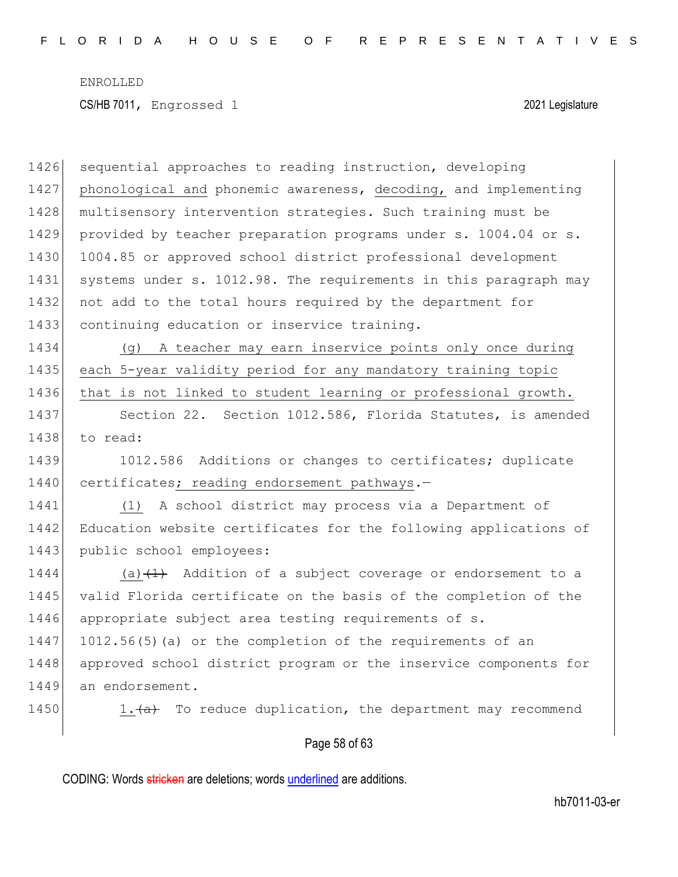Page 58 of 63 1426 sequential approaches to reading instruction, developing 1427 phonological and phonemic awareness, decoding, and implementing 1428 multisensory intervention strategies. Such training must be 1429 provided by teacher preparation programs under s. 1004.04 or s. 1430 1004.85 or approved school district professional development 1431 systems under s. 1012.98. The requirements in this paragraph may 1432 not add to the total hours required by the department for 1433 continuing education or inservice training. 1434 (g) A teacher may earn inservice points only once during 1435 each 5-year validity period for any mandatory training topic 1436 that is not linked to student learning or professional growth. 1437 Section 22. Section 1012.586, Florida Statutes, is amended 1438 to read: 1439 1012.586 Additions or changes to certificates; duplicate 1440 certificates; reading endorsement pathways.-1441 (1) A school district may process via a Department of 1442 Education website certificates for the following applications of 1443 public school employees: 1444  $(a)$   $(1)$  Addition of a subject coverage or endorsement to a 1445 valid Florida certificate on the basis of the completion of the 1446 appropriate subject area testing requirements of s. 1447 1012.56(5)(a) or the completion of the requirements of an 1448 approved school district program or the inservice components for 1449 an endorsement. 1450 1. $\left( a \right)$  To reduce duplication, the department may recommend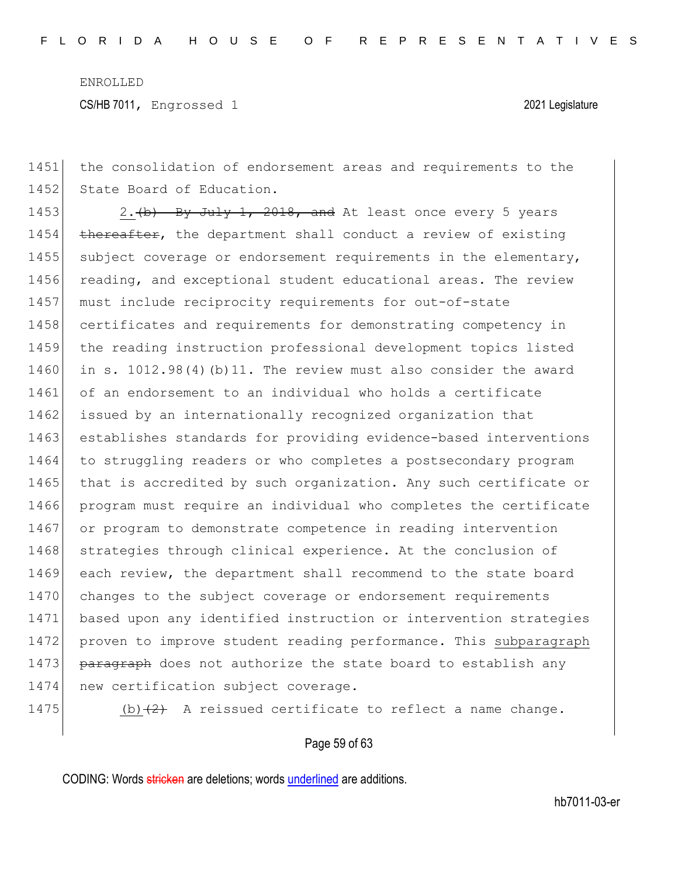CS/HB 7011, Engrossed 1 2021 Legislature

1451 the consolidation of endorsement areas and requirements to the 1452 State Board of Education.

1453  $\vert$  2. (b) By July 1, 2018, and At least once every 5 years 1454 thereafter, the department shall conduct a review of existing 1455 subject coverage or endorsement requirements in the elementary, 1456 reading, and exceptional student educational areas. The review 1457 must include reciprocity requirements for out-of-state 1458 certificates and requirements for demonstrating competency in 1459 the reading instruction professional development topics listed 1460 in s. 1012.98(4)(b)11. The review must also consider the award 1461 of an endorsement to an individual who holds a certificate 1462 issued by an internationally recognized organization that 1463 establishes standards for providing evidence-based interventions 1464 to struggling readers or who completes a postsecondary program 1465 that is accredited by such organization. Any such certificate or 1466 program must require an individual who completes the certificate 1467 or program to demonstrate competence in reading intervention 1468 strategies through clinical experience. At the conclusion of 1469 each review, the department shall recommend to the state board 1470 changes to the subject coverage or endorsement requirements 1471 based upon any identified instruction or intervention strategies 1472 proven to improve student reading performance. This subparagraph 1473 **paragraph** does not authorize the state board to establish any 1474 new certification subject coverage.

1475 (b) $(2)$  A reissued certificate to reflect a name change.

#### Page 59 of 63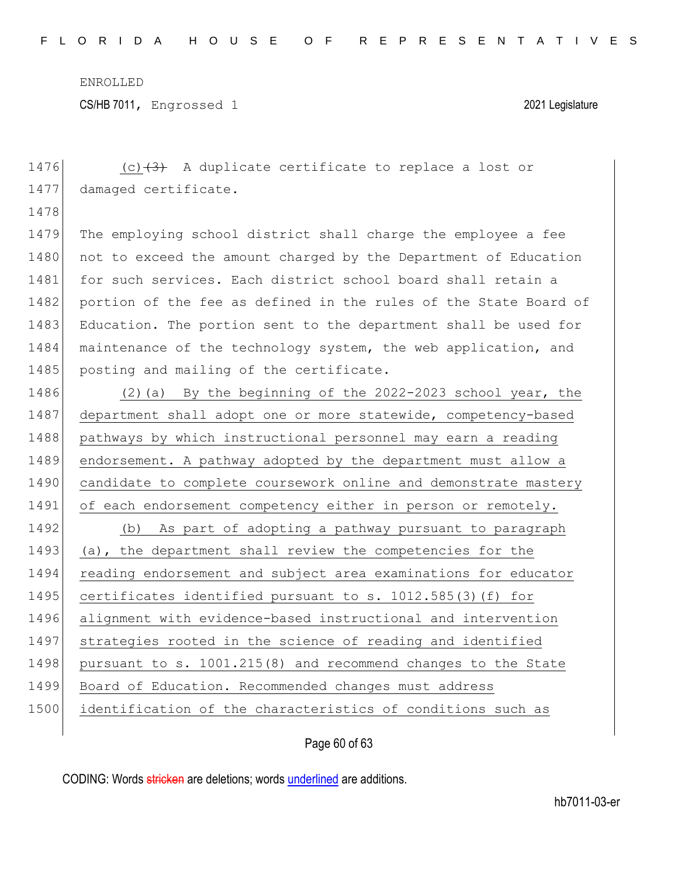CS/HB 7011, Engrossed 1 2021 Legislature

| 1476 | (c) $(3)$ A duplicate certificate to replace a lost or           |
|------|------------------------------------------------------------------|
| 1477 | damaged certificate.                                             |
| 1478 |                                                                  |
| 1479 | The employing school district shall charge the employee a fee    |
| 1480 | not to exceed the amount charged by the Department of Education  |
| 1481 | for such services. Each district school board shall retain a     |
| 1482 | portion of the fee as defined in the rules of the State Board of |
| 1483 | Education. The portion sent to the department shall be used for  |
| 1484 | maintenance of the technology system, the web application, and   |
| 1485 | posting and mailing of the certificate.                          |
| 1486 | By the beginning of the 2022-2023 school year, the<br>$(2)$ (a)  |
| 1487 | department shall adopt one or more statewide, competency-based   |
| 1488 | pathways by which instructional personnel may earn a reading     |
| 1489 | endorsement. A pathway adopted by the department must allow a    |
| 1490 | candidate to complete coursework online and demonstrate mastery  |
| 1491 | of each endorsement competency either in person or remotely.     |
| 1492 | (b) As part of adopting a pathway pursuant to paragraph          |
| 1493 | (a), the department shall review the competencies for the        |
| 1494 | reading endorsement and subject area examinations for educator   |
| 1495 | certificates identified pursuant to s. 1012.585(3)(f) for        |
| 1496 | alignment with evidence-based instructional and intervention     |
| 1497 | strategies rooted in the science of reading and identified       |
| 1498 | pursuant to s. 1001.215(8) and recommend changes to the State    |
| 1499 | Board of Education. Recommended changes must address             |
| 1500 | identification of the characteristics of conditions such as      |
|      |                                                                  |

Page 60 of 63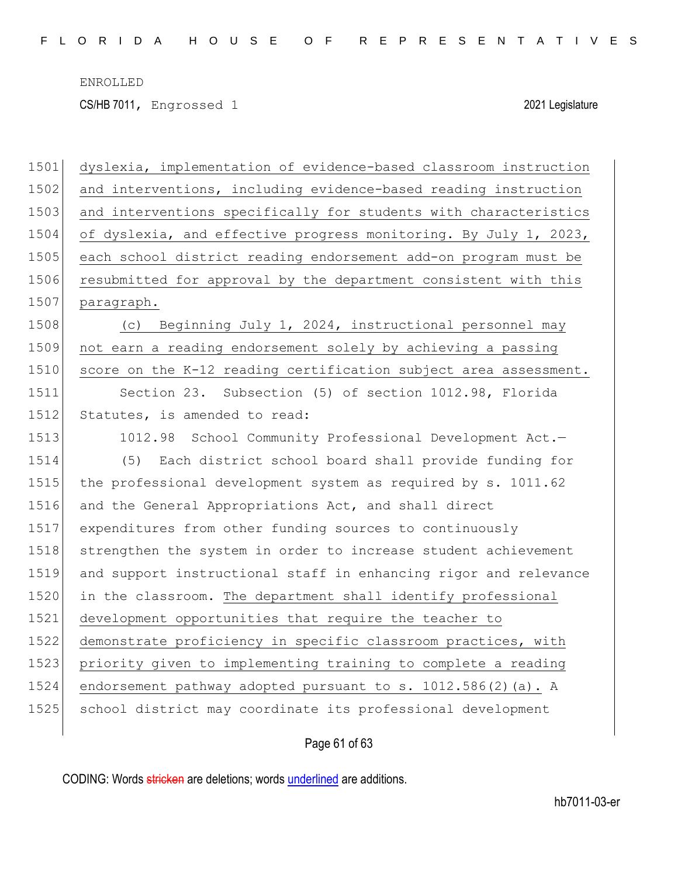CS/HB 7011, Engrossed 1 2021 Legislature

| 1501 | dyslexia, implementation of evidence-based classroom instruction |
|------|------------------------------------------------------------------|
| 1502 | and interventions, including evidence-based reading instruction  |
| 1503 | and interventions specifically for students with characteristics |
| 1504 | of dyslexia, and effective progress monitoring. By July 1, 2023, |
| 1505 | each school district reading endorsement add-on program must be  |
| 1506 | resubmitted for approval by the department consistent with this  |
| 1507 | paragraph.                                                       |
| 1508 | Beginning July 1, 2024, instructional personnel may<br>(C)       |
| 1509 | not earn a reading endorsement solely by achieving a passing     |
| 1510 | score on the K-12 reading certification subject area assessment. |
| 1511 | Section 23. Subsection (5) of section 1012.98, Florida           |
| 1512 | Statutes, is amended to read:                                    |
| 1513 | 1012.98 School Community Professional Development Act.-          |
| 1514 | Each district school board shall provide funding for<br>(5)      |
| 1515 | the professional development system as required by s. 1011.62    |
| 1516 | and the General Appropriations Act, and shall direct             |
| 1517 | expenditures from other funding sources to continuously          |
| 1518 | strengthen the system in order to increase student achievement   |
| 1519 | and support instructional staff in enhancing rigor and relevance |
| 1520 | in the classroom. The department shall identify professional     |
| 1521 | development opportunities that require the teacher to            |
| 1522 | demonstrate proficiency in specific classroom practices, with    |
| 1523 | priority given to implementing training to complete a reading    |
| 1524 | endorsement pathway adopted pursuant to s. 1012.586(2)(a). A     |
| 1525 | school district may coordinate its professional development      |
|      |                                                                  |

## Page 61 of 63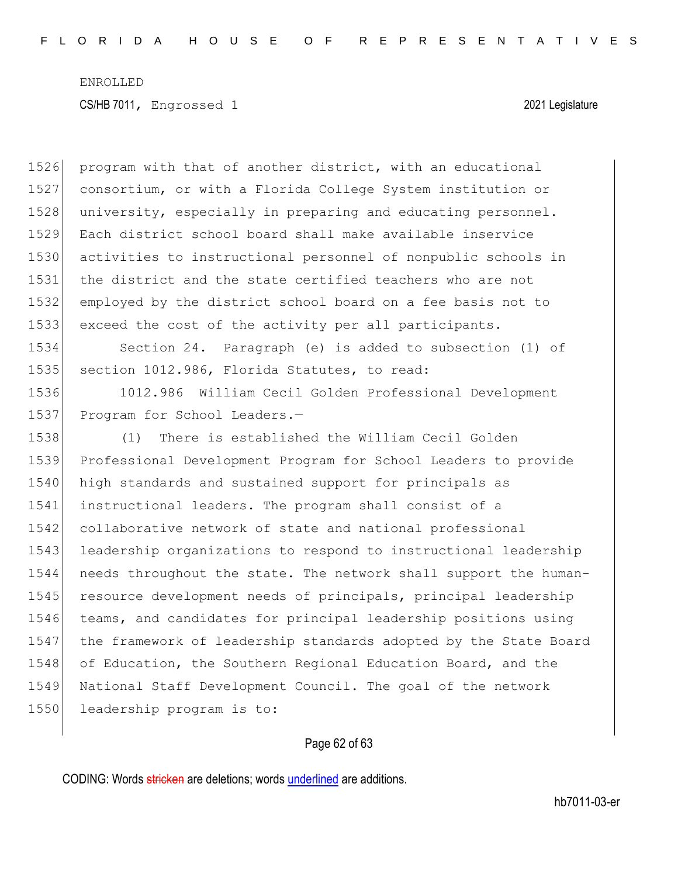1526 program with that of another district, with an educational consortium, or with a Florida College System institution or 1528 university, especially in preparing and educating personnel. Each district school board shall make available inservice activities to instructional personnel of nonpublic schools in the district and the state certified teachers who are not employed by the district school board on a fee basis not to exceed the cost of the activity per all participants. Section 24. Paragraph (e) is added to subsection (1) of section 1012.986, Florida Statutes, to read: 1012.986 William Cecil Golden Professional Development 1537 Program for School Leaders.- (1) There is established the William Cecil Golden Professional Development Program for School Leaders to provide 1540 high standards and sustained support for principals as instructional leaders. The program shall consist of a 1542 collaborative network of state and national professional leadership organizations to respond to instructional leadership needs throughout the state. The network shall support the human- resource development needs of principals, principal leadership teams, and candidates for principal leadership positions using 1547 the framework of leadership standards adopted by the State Board 1548 of Education, the Southern Regional Education Board, and the National Staff Development Council. The goal of the network 1550 leadership program is to:

### Page 62 of 63